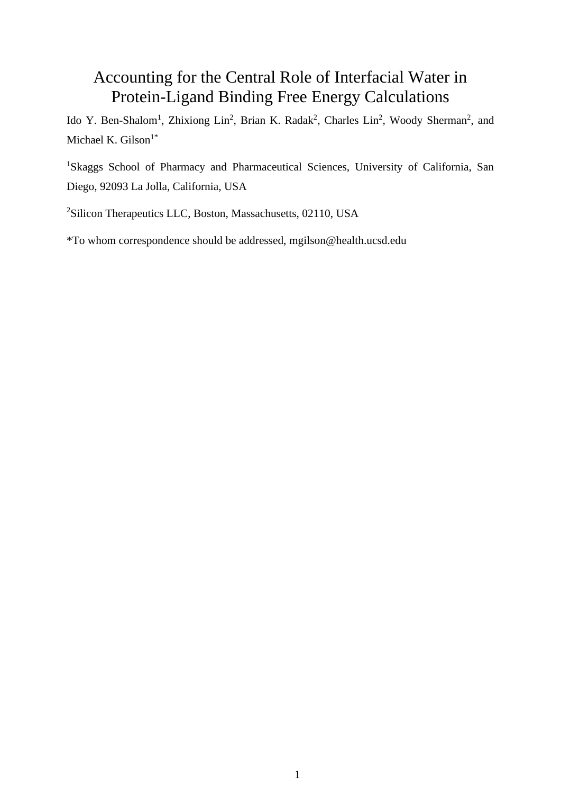# Accounting for the Central Role of Interfacial Water in Protein-Ligand Binding Free Energy Calculations

Ido Y. Ben-Shalom<sup>1</sup>, Zhixiong Lin<sup>2</sup>, Brian K. Radak<sup>2</sup>, Charles Lin<sup>2</sup>, Woody Sherman<sup>2</sup>, and Michael K. Gilson $1^*$ 

<sup>1</sup>Skaggs School of Pharmacy and Pharmaceutical Sciences, University of California, San Diego, 92093 La Jolla, California, USA

<sup>2</sup>Silicon Therapeutics LLC, Boston, Massachusetts, 02110, USA

\*To whom correspondence should be addressed, mgilson@health.ucsd.edu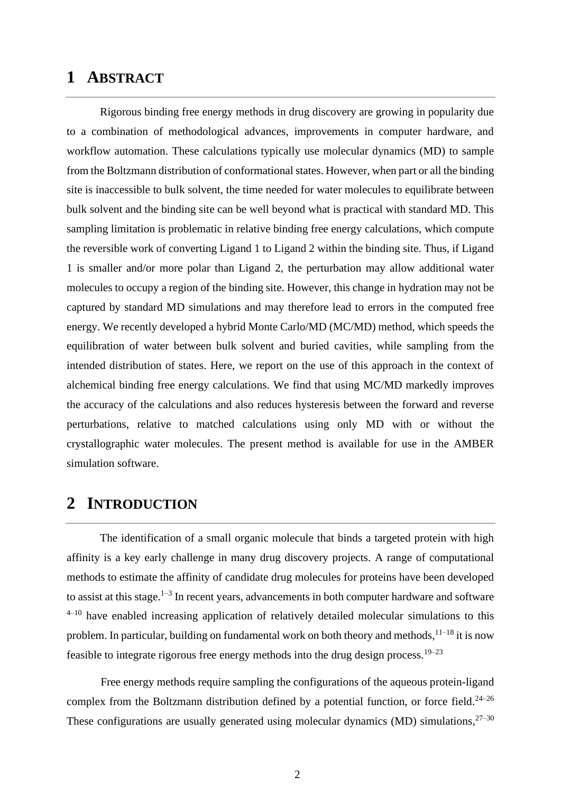### **1 ABSTRACT**

Rigorous binding free energy methods in drug discovery are growing in popularity due to a combination of methodological advances, improvements in computer hardware, and workflow automation. These calculations typically use molecular dynamics (MD) to sample from the Boltzmann distribution of conformational states. However, when part or all the binding site is inaccessible to bulk solvent, the time needed for water molecules to equilibrate between bulk solvent and the binding site can be well beyond what is practical with standard MD. This sampling limitation is problematic in relative binding free energy calculations, which compute the reversible work of converting Ligand 1 to Ligand 2 within the binding site. Thus, if Ligand 1 is smaller and/or more polar than Ligand 2, the perturbation may allow additional water molecules to occupy a region of the binding site. However, this change in hydration may not be captured by standard MD simulations and may therefore lead to errors in the computed free energy. We recently developed a hybrid Monte Carlo/MD (MC/MD) method, which speeds the equilibration of water between bulk solvent and buried cavities, while sampling from the intended distribution of states. Here, we report on the use of this approach in the context of alchemical binding free energy calculations. We find that using MC/MD markedly improves the accuracy of the calculations and also reduces hysteresis between the forward and reverse perturbations, relative to matched calculations using only MD with or without the crystallographic water molecules. The present method is available for use in the AMBER simulation software.

## **2 INTRODUCTION**

The identification of a small organic molecule that binds a targeted protein with high affinity is a key early challenge in many drug discovery projects. A range of computational methods to estimate the affinity of candidate drug molecules for proteins have been developed to assist at this stage.<sup>1-3</sup> In recent years, advancements in both computer hardware and software  $4-10$  have enabled increasing application of relatively detailed molecular simulations to this problem. In particular, building on fundamental work on both theory and methods,  $1^{1-18}$  it is now feasible to integrate rigorous free energy methods into the drug design process.<sup>19–23</sup>

Free energy methods require sampling the configurations of the aqueous protein-ligand complex from the Boltzmann distribution defined by a potential function, or force field.<sup>24–26</sup> These configurations are usually generated using molecular dynamics (MD) simulations,  $27-30$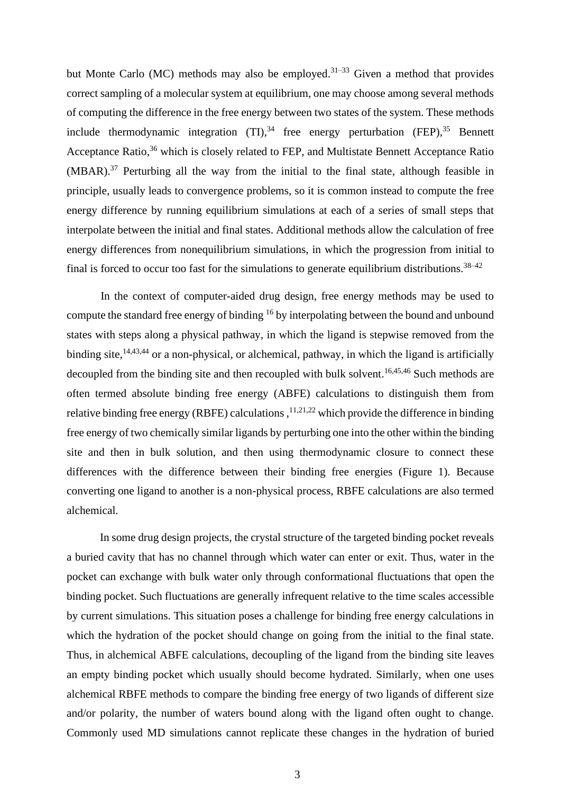but Monte Carlo (MC) methods may also be employed.<sup>31–33</sup> Given a method that provides correct sampling of a molecular system at equilibrium, one may choose among several methods of computing the difference in the free energy between two states of the system. These methods include thermodynamic integration  $(TI)$ ,<sup>34</sup> free energy perturbation  $(FEP)$ ,<sup>35</sup> Bennett Acceptance Ratio,<sup>36</sup> which is closely related to FEP, and Multistate Bennett Acceptance Ratio (MBAR).<sup>37</sup> Perturbing all the way from the initial to the final state, although feasible in principle, usually leads to convergence problems, so it is common instead to compute the free energy difference by running equilibrium simulations at each of a series of small steps that interpolate between the initial and final states. Additional methods allow the calculation of free energy differences from nonequilibrium simulations, in which the progression from initial to final is forced to occur too fast for the simulations to generate equilibrium distributions.<sup>38–42</sup>

In the context of computer-aided drug design, free energy methods may be used to compute the standard free energy of binding <sup>16</sup> by interpolating between the bound and unbound states with steps along a physical pathway, in which the ligand is stepwise removed from the binding site,<sup>14,43,44</sup> or a non-physical, or alchemical, pathway, in which the ligand is artificially decoupled from the binding site and then recoupled with bulk solvent.<sup>16,45,46</sup> Such methods are often termed absolute binding free energy (ABFE) calculations to distinguish them from relative binding free energy (RBFE) calculations,  $11,21,22$  which provide the difference in binding free energy of two chemically similar ligands by perturbing one into the other within the binding site and then in bulk solution, and then using thermodynamic closure to connect these differences with the difference between their binding free energies [\(Figure 1\)](#page-4-0). Because converting one ligand to another is a non-physical process, RBFE calculations are also termed alchemical.

In some drug design projects, the crystal structure of the targeted binding pocket reveals a buried cavity that has no channel through which water can enter or exit. Thus, water in the pocket can exchange with bulk water only through conformational fluctuations that open the binding pocket. Such fluctuations are generally infrequent relative to the time scales accessible by current simulations. This situation poses a challenge for binding free energy calculations in which the hydration of the pocket should change on going from the initial to the final state. Thus, in alchemical ABFE calculations, decoupling of the ligand from the binding site leaves an empty binding pocket which usually should become hydrated. Similarly, when one uses alchemical RBFE methods to compare the binding free energy of two ligands of different size and/or polarity, the number of waters bound along with the ligand often ought to change. Commonly used MD simulations cannot replicate these changes in the hydration of buried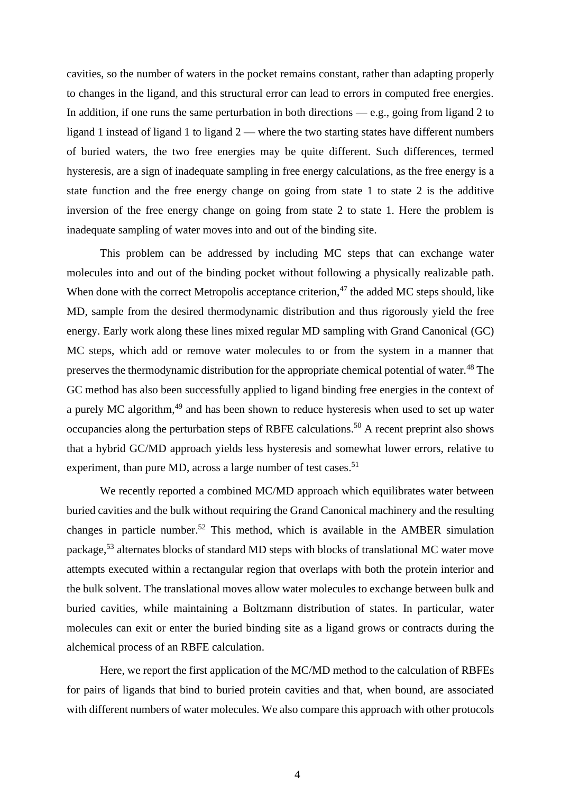cavities, so the number of waters in the pocket remains constant, rather than adapting properly to changes in the ligand, and this structural error can lead to errors in computed free energies. In addition, if one runs the same perturbation in both directions — e.g., going from ligand 2 to ligand 1 instead of ligand 1 to ligand 2 — where the two starting states have different numbers of buried waters, the two free energies may be quite different. Such differences, termed hysteresis, are a sign of inadequate sampling in free energy calculations, as the free energy is a state function and the free energy change on going from state 1 to state 2 is the additive inversion of the free energy change on going from state 2 to state 1. Here the problem is inadequate sampling of water moves into and out of the binding site.

This problem can be addressed by including MC steps that can exchange water molecules into and out of the binding pocket without following a physically realizable path. When done with the correct Metropolis acceptance criterion,<sup>47</sup> the added MC steps should, like MD, sample from the desired thermodynamic distribution and thus rigorously yield the free energy. Early work along these lines mixed regular MD sampling with Grand Canonical (GC) MC steps, which add or remove water molecules to or from the system in a manner that preserves the thermodynamic distribution for the appropriate chemical potential of water.<sup>48</sup> The GC method has also been successfully applied to ligand binding free energies in the context of a purely MC algorithm,<sup>49</sup> and has been shown to reduce hysteresis when used to set up water occupancies along the perturbation steps of RBFE calculations.<sup>50</sup> A recent preprint also shows that a hybrid GC/MD approach yields less hysteresis and somewhat lower errors, relative to experiment, than pure MD, across a large number of test cases.<sup>51</sup>

We recently reported a combined MC/MD approach which equilibrates water between buried cavities and the bulk without requiring the Grand Canonical machinery and the resulting changes in particle number. <sup>52</sup> This method, which is available in the AMBER simulation package,<sup>53</sup> alternates blocks of standard MD steps with blocks of translational MC water move attempts executed within a rectangular region that overlaps with both the protein interior and the bulk solvent. The translational moves allow water molecules to exchange between bulk and buried cavities, while maintaining a Boltzmann distribution of states. In particular, water molecules can exit or enter the buried binding site as a ligand grows or contracts during the alchemical process of an RBFE calculation.

Here, we report the first application of the MC/MD method to the calculation of RBFEs for pairs of ligands that bind to buried protein cavities and that, when bound, are associated with different numbers of water molecules. We also compare this approach with other protocols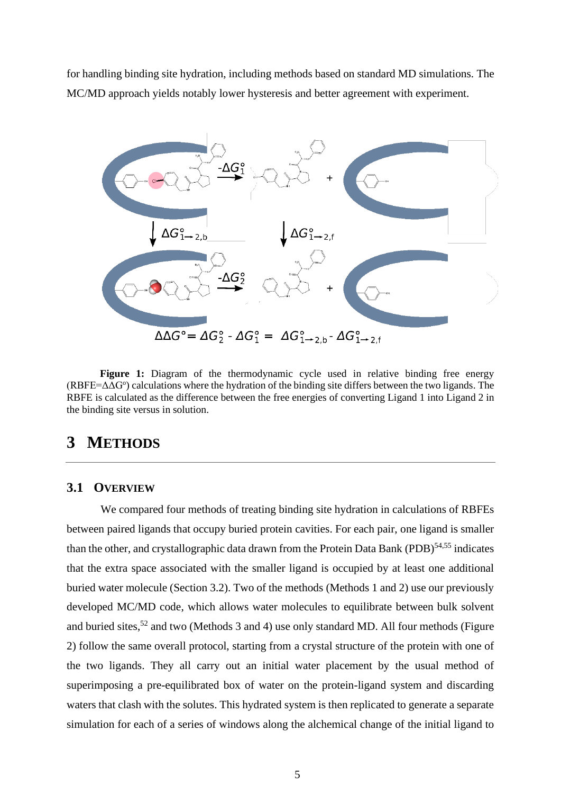for handling binding site hydration, including methods based on standard MD simulations. The MC/MD approach yields notably lower hysteresis and better agreement with experiment.



<span id="page-4-0"></span>Figure 1: Diagram of the thermodynamic cycle used in relative binding free energy  $(RBFE = \Delta\Delta G^{\circ})$  calculations where the hydration of the binding site differs between the two ligands. The RBFE is calculated as the difference between the free energies of converting Ligand 1 into Ligand 2 in the binding site versus in solution.

# **3 METHODS**

#### <span id="page-4-1"></span>**3.1 OVERVIEW**

We compared four methods of treating binding site hydration in calculations of RBFEs between paired ligands that occupy buried protein cavities. For each pair, one ligand is smaller than the other, and crystallographic data drawn from the Protein Data Bank (PDB)<sup>54,55</sup> indicates that the extra space associated with the smaller ligand is occupied by at least one additional buried water molecule (Section [3.2\)](#page-6-0). Two of the methods (Methods 1 and 2) use our previously developed MC/MD code, which allows water molecules to equilibrate between bulk solvent and buried sites,<sup>52</sup> and two (Methods 3 and 4) use only standard MD. All four methods (Figure [2\)](#page-5-0) follow the same overall protocol, starting from a crystal structure of the protein with one of the two ligands. They all carry out an initial water placement by the usual method of superimposing a pre-equilibrated box of water on the protein-ligand system and discarding waters that clash with the solutes. This hydrated system is then replicated to generate a separate simulation for each of a series of windows along the alchemical change of the initial ligand to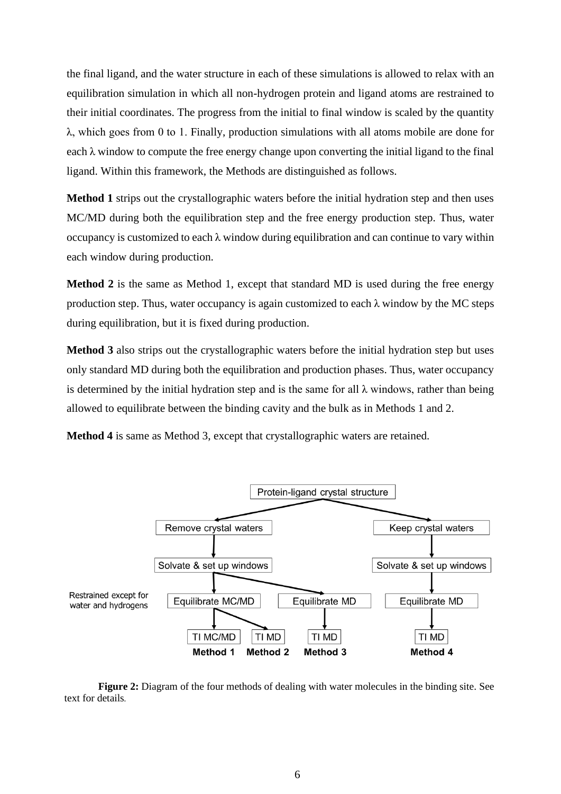the final ligand, and the water structure in each of these simulations is allowed to relax with an equilibration simulation in which all non-hydrogen protein and ligand atoms are restrained to their initial coordinates. The progress from the initial to final window is scaled by the quantity λ, which goes from 0 to 1. Finally, production simulations with all atoms mobile are done for each  $\lambda$  window to compute the free energy change upon converting the initial ligand to the final ligand. Within this framework, the Methods are distinguished as follows.

**Method 1** strips out the crystallographic waters before the initial hydration step and then uses MC/MD during both the equilibration step and the free energy production step. Thus, water occupancy is customized to each  $\lambda$  window during equilibration and can continue to vary within each window during production.

**Method 2** is the same as Method 1, except that standard MD is used during the free energy production step. Thus, water occupancy is again customized to each  $\lambda$  window by the MC steps during equilibration, but it is fixed during production.

**Method 3** also strips out the crystallographic waters before the initial hydration step but uses only standard MD during both the equilibration and production phases. Thus, water occupancy is determined by the initial hydration step and is the same for all  $\lambda$  windows, rather than being allowed to equilibrate between the binding cavity and the bulk as in Methods 1 and 2.

**Method 4** is same as Method 3, except that crystallographic waters are retained.



<span id="page-5-0"></span>**Figure 2:** Diagram of the four methods of dealing with water molecules in the binding site. See text for details*.*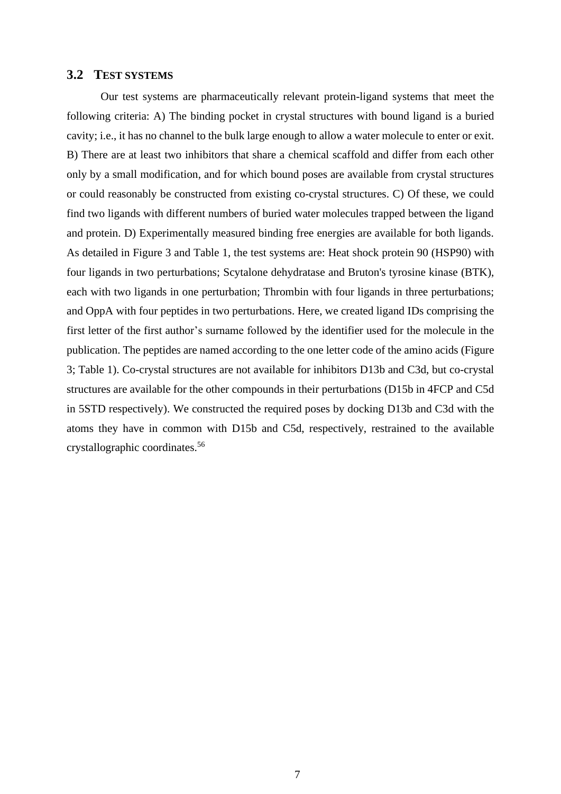#### <span id="page-6-0"></span>**3.2 TEST SYSTEMS**

Our test systems are pharmaceutically relevant protein-ligand systems that meet the following criteria: A) The binding pocket in crystal structures with bound ligand is a buried cavity; i.e., it has no channel to the bulk large enough to allow a water molecule to enter or exit. B) There are at least two inhibitors that share a chemical scaffold and differ from each other only by a small modification, and for which bound poses are available from crystal structures or could reasonably be constructed from existing co-crystal structures. C) Of these, we could find two ligands with different numbers of buried water molecules trapped between the ligand and protein. D) Experimentally measured binding free energies are available for both ligands. As detailed in [Figure 3](#page-8-0) and [Table 1,](#page-7-0) the test systems are: Heat shock protein 90 (HSP90) with four ligands in two perturbations; Scytalone dehydratase and Bruton's tyrosine kinase (BTK), each with two ligands in one perturbation; Thrombin with four ligands in three perturbations; and OppA with four peptides in two perturbations. Here, we created ligand IDs comprising the first letter of the first author's surname followed by the identifier used for the molecule in the publication. The peptides are named according to the one letter code of the amino acids [\(Figure](#page-8-0)  [3;](#page-8-0) [Table 1\)](#page-7-0). Co-crystal structures are not available for inhibitors D13b and C3d, but co-crystal structures are available for the other compounds in their perturbations (D15b in 4FCP and C5d in 5STD respectively). We constructed the required poses by docking D13b and C3d with the atoms they have in common with D15b and C5d, respectively, restrained to the available crystallographic coordinates.<sup>56</sup>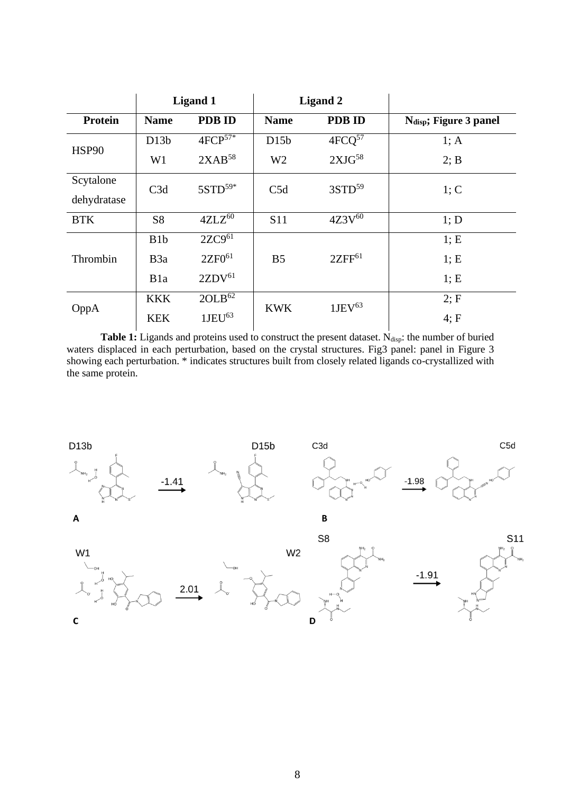|                |                  | <b>Ligand 1</b>        | <b>Ligand 2</b> |                    |                                    |  |
|----------------|------------------|------------------------|-----------------|--------------------|------------------------------------|--|
| <b>Protein</b> | <b>Name</b>      | <b>PDB ID</b>          | <b>Name</b>     | <b>PDB ID</b>      | N <sub>disp</sub> ; Figure 3 panel |  |
| HSP90          | D13b             | $4FCP^{57*}$           | D15b            | $4FCQ^{57}$        | 1; A                               |  |
|                | W <sub>1</sub>   | $2XAB^{58}$            | W <sub>2</sub>  | 2XJG <sup>58</sup> | 2; B                               |  |
| Scytalone      | C3d              | $5STD^{59*}$           | C5d             | $3STD^{59}$        | 1; C                               |  |
| dehydratase    |                  |                        |                 |                    |                                    |  |
| <b>BTK</b>     | <b>S8</b>        | $4ZL\overline{Z^{60}}$ | <b>S11</b>      | $4Z3V^{60}$        | 1; D                               |  |
| Thrombin       | B1b              | $2ZC9^{61}$            |                 |                    | 1; E                               |  |
|                | B <sub>3</sub> a | $2ZF0^{61}$            | B <sub>5</sub>  | $2ZFF^{61}$        | 1; E                               |  |
|                | B <sub>1</sub> a | 2ZDV <sup>61</sup>     |                 |                    | 1; E                               |  |
| OppA           | <b>KKK</b>       | 2OLB <sup>62</sup>     | <b>KWK</b>      | 1JEV <sup>63</sup> | 2; F                               |  |
|                | <b>KEK</b>       | 1JEU <sup>63</sup>     |                 |                    | 4; F                               |  |

<span id="page-7-0"></span>Table 1: Ligands and proteins used to construct the present dataset. N<sub>disp</sub>: the number of buried waters displaced in each perturbation, based on the crystal structures. Fig3 panel: panel in Figure 3 showing each perturbation. \* indicates structures built from closely related ligands co-crystallized with the same protein.



 $\mathsf{A}$ 







S11



 $-1.41$ 

B S<sub>8</sub>

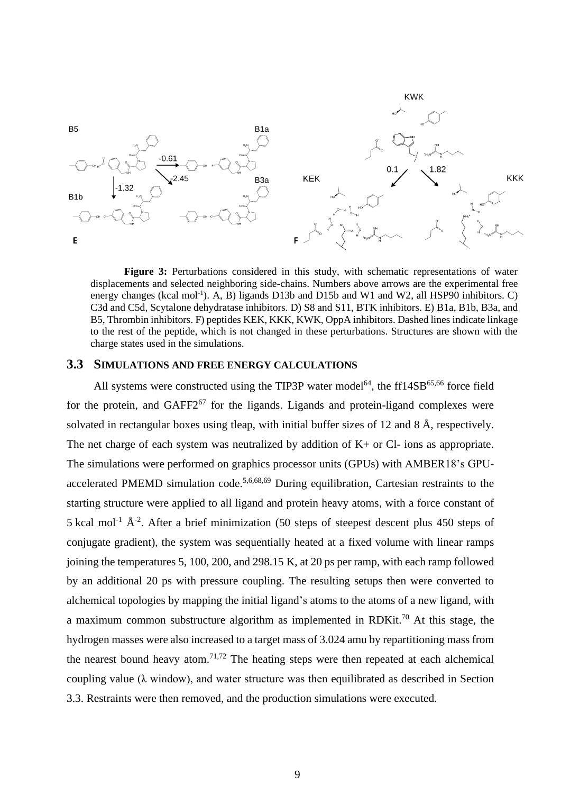

<span id="page-8-0"></span>**Figure 3:** Perturbations considered in this study, with schematic representations of water displacements and selected neighboring side-chains. Numbers above arrows are the experimental free energy changes (kcal mol<sup>-1</sup>). A, B) ligands D13b and D15b and W1 and W2, all HSP90 inhibitors. C) C3d and C5d, Scytalone dehydratase inhibitors. D) S8 and S11, BTK inhibitors. E) B1a, B1b, B3a, and B5, Thrombin inhibitors. F) peptides KEK, KKK, KWK, OppA inhibitors. Dashed lines indicate linkage to the rest of the peptide, which is not changed in these perturbations. Structures are shown with the charge states used in the simulations.

#### <span id="page-8-1"></span>**3.3 SIMULATIONS AND FREE ENERGY CALCULATIONS**

All systems were constructed using the TIP3P water model<sup>64</sup>, the ff14SB<sup>65,66</sup> force field for the protein, and  $GAFF2^{67}$  for the ligands. Ligands and protein-ligand complexes were solvated in rectangular boxes using tleap, with initial buffer sizes of 12 and 8 Å, respectively. The net charge of each system was neutralized by addition of  $K<sub>+</sub>$  or Cl- ions as appropriate. The simulations were performed on graphics processor units (GPUs) with AMBER18's GPUaccelerated PMEMD simulation code.<sup>5,6,68,69</sup> During equilibration, Cartesian restraints to the starting structure were applied to all ligand and protein heavy atoms, with a force constant of 5 kcal mol<sup>-1</sup>  $\AA$ <sup>-2</sup>. After a brief minimization (50 steps of steepest descent plus 450 steps of conjugate gradient), the system was sequentially heated at a fixed volume with linear ramps joining the temperatures 5, 100, 200, and 298.15 K, at 20 ps per ramp, with each ramp followed by an additional 20 ps with pressure coupling. The resulting setups then were converted to alchemical topologies by mapping the initial ligand's atoms to the atoms of a new ligand, with a maximum common substructure algorithm as implemented in RDKit.<sup>70</sup> At this stage, the hydrogen masses were also increased to a target mass of 3.024 amu by repartitioning mass from the nearest bound heavy atom.<sup>71,72</sup> The heating steps were then repeated at each alchemical coupling value ( $\lambda$  window), and water structure was then equilibrated as described in Section 3.3. Restraints were then removed, and the production simulations were executed.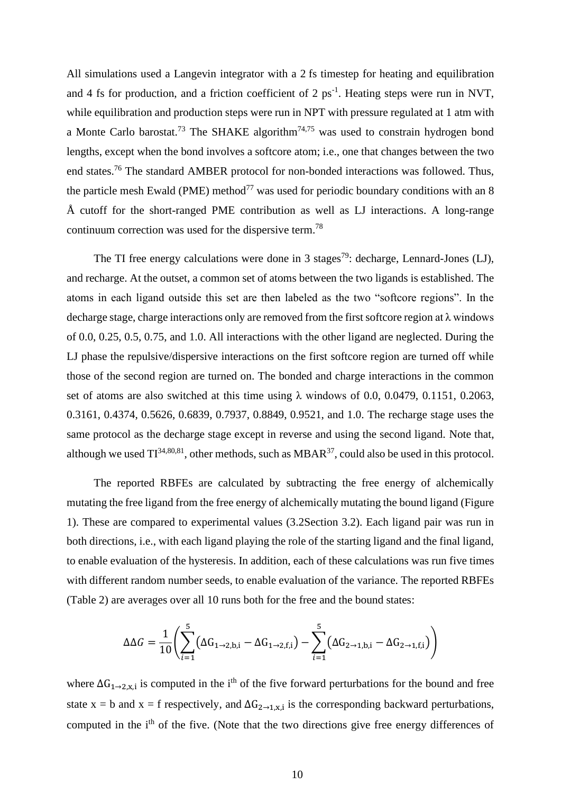All simulations used a Langevin integrator with a 2 fs timestep for heating and equilibration and 4 fs for production, and a friction coefficient of 2  $ps^{-1}$ . Heating steps were run in NVT, while equilibration and production steps were run in NPT with pressure regulated at 1 atm with a Monte Carlo barostat.<sup>73</sup> The SHAKE algorithm<sup>74,75</sup> was used to constrain hydrogen bond lengths, except when the bond involves a softcore atom; i.e., one that changes between the two end states.<sup>76</sup> The standard AMBER protocol for non-bonded interactions was followed. Thus, the particle mesh Ewald (PME) method<sup>77</sup> was used for periodic boundary conditions with an 8 Å cutoff for the short-ranged PME contribution as well as LJ interactions. A long-range continuum correction was used for the dispersive term.<sup>78</sup>

The TI free energy calculations were done in 3 stages<sup>79</sup>: decharge, Lennard-Jones (LJ), and recharge. At the outset, a common set of atoms between the two ligands is established. The atoms in each ligand outside this set are then labeled as the two "softcore regions". In the decharge stage, charge interactions only are removed from the first softcore region at  $\lambda$  windows of 0.0, 0.25, 0.5, 0.75, and 1.0. All interactions with the other ligand are neglected. During the LJ phase the repulsive/dispersive interactions on the first softcore region are turned off while those of the second region are turned on. The bonded and charge interactions in the common set of atoms are also switched at this time using  $\lambda$  windows of 0.0, 0.0479, 0.1151, 0.2063, 0.3161, 0.4374, 0.5626, 0.6839, 0.7937, 0.8849, 0.9521, and 1.0. The recharge stage uses the same protocol as the decharge stage except in reverse and using the second ligand. Note that, although we used  $TI^{34,80,81}$ , other methods, such as MBAR<sup>37</sup>, could also be used in this protocol.

The reported RBFEs are calculated by subtracting the free energy of alchemically mutating the free ligand from the free energy of alchemically mutating the bound ligand [\(Figure](#page-4-0)  [1\)](#page-4-0). These are compared to experimental values [\(3.2S](#page-6-0)ection [3.2\)](#page-6-0). Each ligand pair was run in both directions, i.e., with each ligand playing the role of the starting ligand and the final ligand, to enable evaluation of the hysteresis. In addition, each of these calculations was run five times with different random number seeds, to enable evaluation of the variance. The reported RBFEs [\(Table 2\)](#page-13-0) are averages over all 10 runs both for the free and the bound states:

$$
\Delta \Delta G = \frac{1}{10} \left( \sum_{i=1}^{5} (\Delta G_{1 \to 2, b, i} - \Delta G_{1 \to 2, f, i}) - \sum_{i=1}^{5} (\Delta G_{2 \to 1, b, i} - \Delta G_{2 \to 1, f, i}) \right)
$$

where  $\Delta G_{1\rightarrow 2,x,i}$  is computed in the i<sup>th</sup> of the five forward perturbations for the bound and free state  $x = b$  and  $x = f$  respectively, and  $\Delta G_{2 \rightarrow 1, x, i}$  is the corresponding backward perturbations, computed in the i<sup>th</sup> of the five. (Note that the two directions give free energy differences of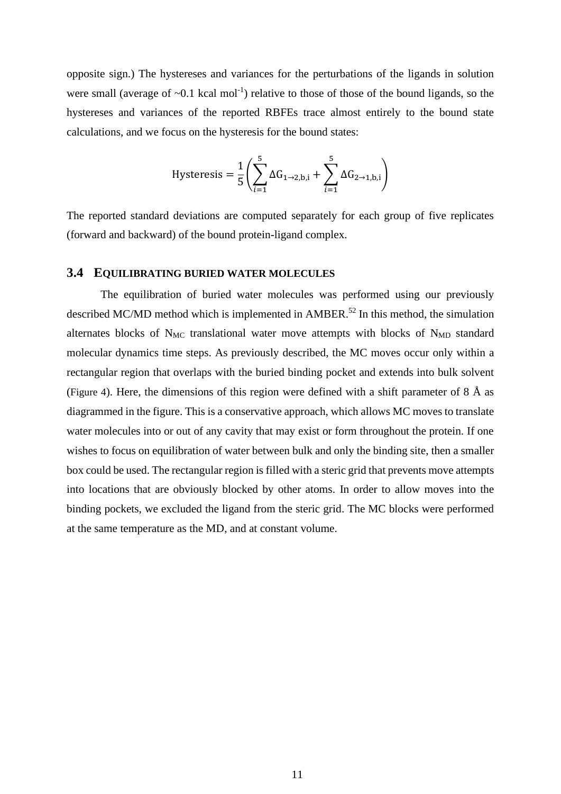opposite sign.) The hystereses and variances for the perturbations of the ligands in solution were small (average of  $\sim 0.1$  kcal mol<sup>-1</sup>) relative to those of those of the bound ligands, so the hystereses and variances of the reported RBFEs trace almost entirely to the bound state calculations, and we focus on the hysteresis for the bound states:

$$
\text{Hysteresis} = \frac{1}{5} \left( \sum_{i=1}^{5} \Delta G_{1 \rightarrow 2, b, i} + \sum_{i=1}^{5} \Delta G_{2 \rightarrow 1, b, i} \right)
$$

The reported standard deviations are computed separately for each group of five replicates (forward and backward) of the bound protein-ligand complex.

#### **3.4 EQUILIBRATING BURIED WATER MOLECULES**

The equilibration of buried water molecules was performed using our previously described MC/MD method which is implemented in  $AMBER$ <sup>52</sup> In this method, the simulation alternates blocks of  $N_{MC}$  translational water move attempts with blocks of  $N_{MD}$  standard molecular dynamics time steps. As previously described, the MC moves occur only within a rectangular region that overlaps with the buried binding pocket and extends into bulk solvent ([Figure 4](#page-11-0)). Here, the dimensions of this region were defined with a shift parameter of  $8 \text{ Å}$  as diagrammed in the figure. This is a conservative approach, which allows MC moves to translate water molecules into or out of any cavity that may exist or form throughout the protein. If one wishes to focus on equilibration of water between bulk and only the binding site, then a smaller box could be used. The rectangular region is filled with a steric grid that prevents move attempts into locations that are obviously blocked by other atoms. In order to allow moves into the binding pockets, we excluded the ligand from the steric grid. The MC blocks were performed at the same temperature as the MD, and at constant volume.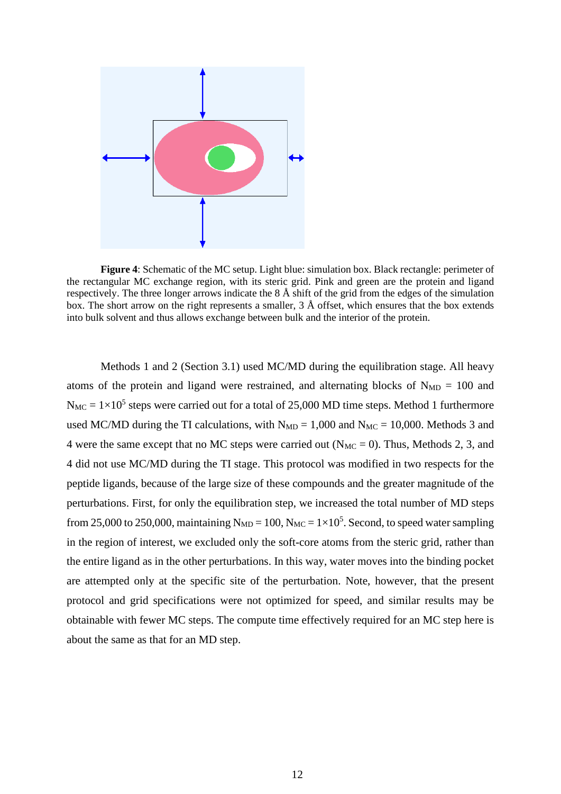

<span id="page-11-0"></span>**Figure 4**: Schematic of the MC setup. Light blue: simulation box. Black rectangle: perimeter of the rectangular MC exchange region, with its steric grid. Pink and green are the protein and ligand respectively. The three longer arrows indicate the  $8 \text{ Å}$  shift of the grid from the edges of the simulation box. The short arrow on the right represents a smaller, 3 Å offset, which ensures that the box extends into bulk solvent and thus allows exchange between bulk and the interior of the protein.

Methods 1 and 2 (Section [3.1\)](#page-4-1) used MC/MD during the equilibration stage. All heavy atoms of the protein and ligand were restrained, and alternating blocks of  $N_{MD} = 100$  and  $N_{MC} = 1 \times 10^5$  steps were carried out for a total of 25,000 MD time steps. Method 1 furthermore used MC/MD during the TI calculations, with  $N_{MD} = 1,000$  and  $N_{MC} = 10,000$ . Methods 3 and 4 were the same except that no MC steps were carried out ( $N_{MC} = 0$ ). Thus, Methods 2, 3, and 4 did not use MC/MD during the TI stage. This protocol was modified in two respects for the peptide ligands, because of the large size of these compounds and the greater magnitude of the perturbations. First, for only the equilibration step, we increased the total number of MD steps from 25,000 to 250,000, maintaining  $N_{MD} = 100$ ,  $N_{MC} = 1 \times 10^5$ . Second, to speed water sampling in the region of interest, we excluded only the soft-core atoms from the steric grid, rather than the entire ligand as in the other perturbations. In this way, water moves into the binding pocket are attempted only at the specific site of the perturbation. Note, however, that the present protocol and grid specifications were not optimized for speed, and similar results may be obtainable with fewer MC steps. The compute time effectively required for an MC step here is about the same as that for an MD step.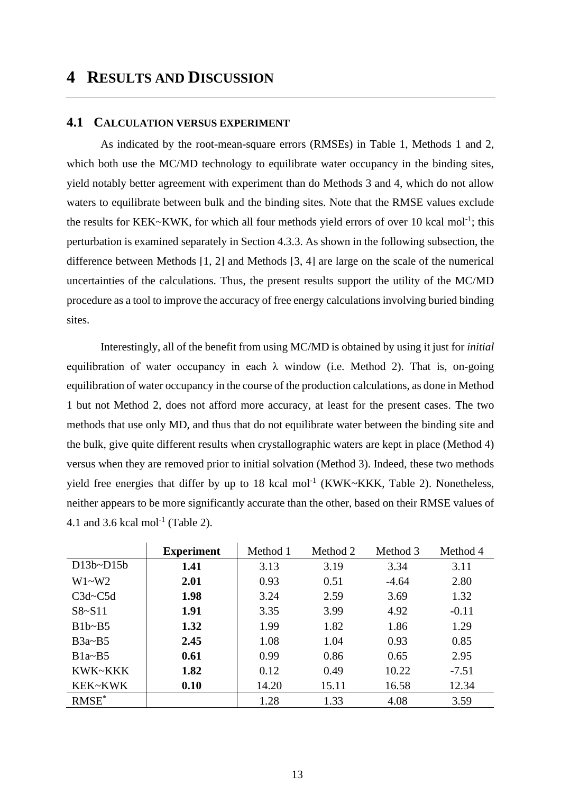# **4 RESULTS AND DISCUSSION**

#### <span id="page-12-0"></span>**4.1 CALCULATION VERSUS EXPERIMENT**

As indicated by the root-mean-square errors (RMSEs) in Table 1, Methods 1 and 2, which both use the MC/MD technology to equilibrate water occupancy in the binding sites, yield notably better agreement with experiment than do Methods 3 and 4, which do not allow waters to equilibrate between bulk and the binding sites. Note that the RMSE values exclude the results for KEK~KWK, for which all four methods yield errors of over 10 kcal mol<sup>-1</sup>; this perturbation is examined separately in Section [4.3.3.](#page-16-0) As shown in the following subsection, the difference between Methods [1, 2] and Methods [3, 4] are large on the scale of the numerical uncertainties of the calculations. Thus, the present results support the utility of the MC/MD procedure as a tool to improve the accuracy of free energy calculations involving buried binding sites.

Interestingly, all of the benefit from using MC/MD is obtained by using it just for *initial* equilibration of water occupancy in each  $\lambda$  window (i.e. Method 2). That is, on-going equilibration of water occupancy in the course of the production calculations, as done in Method 1 but not Method 2, does not afford more accuracy, at least for the present cases. The two methods that use only MD, and thus that do not equilibrate water between the binding site and the bulk, give quite different results when crystallographic waters are kept in place (Method 4) versus when they are removed prior to initial solvation (Method 3). Indeed, these two methods yield free energies that differ by up to 18 kcal mol<sup>-1</sup> (KWK~KKK, Table 2). Nonetheless, neither appears to be more significantly accurate than the other, based on their RMSE values of 4.1 and 3.6 kcal mol<sup>-1</sup> (Table 2).

|              | <b>Experiment</b> | Method 1 | Method 2<br>Method 3 |         | Method 4 |
|--------------|-------------------|----------|----------------------|---------|----------|
| $D13b-D15b$  | 1.41              | 3.13     | 3.19                 | 3.34    | 3.11     |
| $W1-W2$      | 2.01              | 0.93     | 0.51                 | $-4.64$ | 2.80     |
| $C3d - C5d$  | 1.98              | 3.24     | 2.59                 | 3.69    | 1.32     |
| $S8-S11$     | 1.91              | 3.35     | 3.99                 | 4.92    | $-0.11$  |
| $B1b - B5$   | 1.32              | 1.99     | 1.82                 | 1.86    | 1.29     |
| $B3a\sim B5$ | 2.45              | 1.08     | 1.04                 | 0.93    | 0.85     |
| $B1a - B5$   | 0.61              | 0.99     | 0.86                 | 0.65    | 2.95     |
| KWK~KKK      | 1.82              | 0.12     | 0.49                 | 10.22   | $-7.51$  |
| KEK~KWK      | 0.10              | 14.20    | 15.11                | 16.58   | 12.34    |
| $RMSE^*$     |                   | 1.28     | 1.33                 | 4.08    | 3.59     |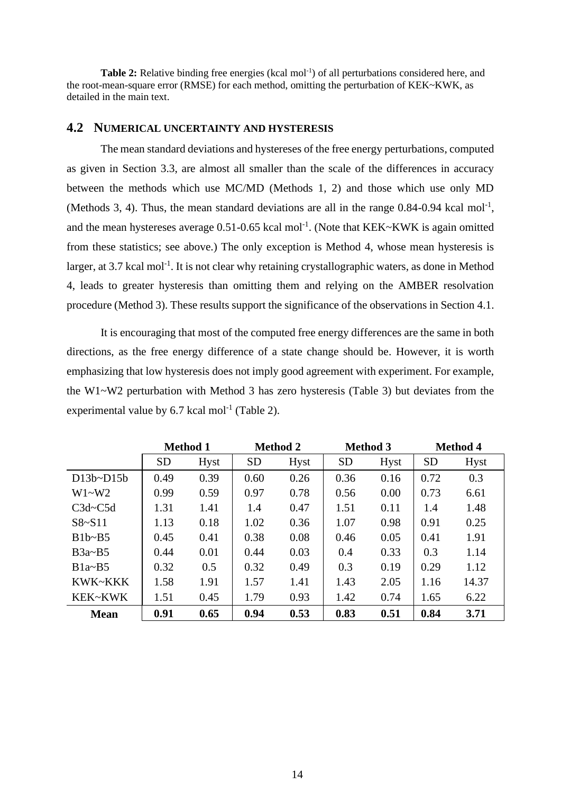<span id="page-13-0"></span>Table 2: Relative binding free energies (kcal mol<sup>-1</sup>) of all perturbations considered here, and the root-mean-square error (RMSE) for each method, omitting the perturbation of KEK~KWK, as detailed in the main text.

#### **4.2 NUMERICAL UNCERTAINTY AND HYSTERESIS**

The mean standard deviations and hystereses of the free energy perturbations, computed as given in Section [3.3,](#page-8-1) are almost all smaller than the scale of the differences in accuracy between the methods which use MC/MD (Methods 1, 2) and those which use only MD (Methods 3, 4). Thus, the mean standard deviations are all in the range  $0.84$ -0.94 kcal mol<sup>-1</sup>, and the mean hystereses average  $0.51$ -0.65 kcal mol<sup>-1</sup>. (Note that KEK~KWK is again omitted from these statistics; see above.) The only exception is Method 4, whose mean hysteresis is larger, at 3.7 kcal mol<sup>-1</sup>. It is not clear why retaining crystallographic waters, as done in Method 4, leads to greater hysteresis than omitting them and relying on the AMBER resolvation procedure (Method 3). These results support the significance of the observations in Section 4.1.

It is encouraging that most of the computed free energy differences are the same in both directions, as the free energy difference of a state change should be. However, it is worth emphasizing that low hysteresis does not imply good agreement with experiment. For example, the W1~W2 perturbation with Method 3 has zero hysteresis (Table 3) but deviates from the experimental value by  $6.7$  kcal mol<sup>-1</sup> [\(Table 2\)](#page-13-0).

|               | <b>Method 1</b> |             | <b>Method 2</b> |             | <b>Method 3</b> |             | <b>Method 4</b> |             |
|---------------|-----------------|-------------|-----------------|-------------|-----------------|-------------|-----------------|-------------|
|               | <b>SD</b>       | <b>Hyst</b> | <b>SD</b>       | <b>Hyst</b> | <b>SD</b>       | <b>Hyst</b> | <b>SD</b>       | <b>Hyst</b> |
| $D13b-D15b$   | 0.49            | 0.39        | 0.60            | 0.26        | 0.36            | 0.16        | 0.72            | 0.3         |
| $W1-W2$       | 0.99            | 0.59        | 0.97            | 0.78        | 0.56            | 0.00        | 0.73            | 6.61        |
| $C3d - C5d$   | 1.31            | 1.41        | 1.4             | 0.47        | 1.51            | 0.11        | 1.4             | 1.48        |
| $S8 \sim S11$ | 1.13            | 0.18        | 1.02            | 0.36        | 1.07            | 0.98        | 0.91            | 0.25        |
| $B1b - B5$    | 0.45            | 0.41        | 0.38            | 0.08        | 0.46            | 0.05        | 0.41            | 1.91        |
| $B3a\sim B5$  | 0.44            | 0.01        | 0.44            | 0.03        | 0.4             | 0.33        | 0.3             | 1.14        |
| $B1a - B5$    | 0.32            | 0.5         | 0.32            | 0.49        | 0.3             | 0.19        | 0.29            | 1.12        |
| KWK~KKK       | 1.58            | 1.91        | 1.57            | 1.41        | 1.43            | 2.05        | 1.16            | 14.37       |
| KEK~KWK       | 1.51            | 0.45        | 1.79            | 0.93        | 1.42            | 0.74        | 1.65            | 6.22        |
| <b>Mean</b>   | 0.91            | 0.65        | 0.94            | 0.53        | 0.83            | 0.51        | 0.84            | 3.71        |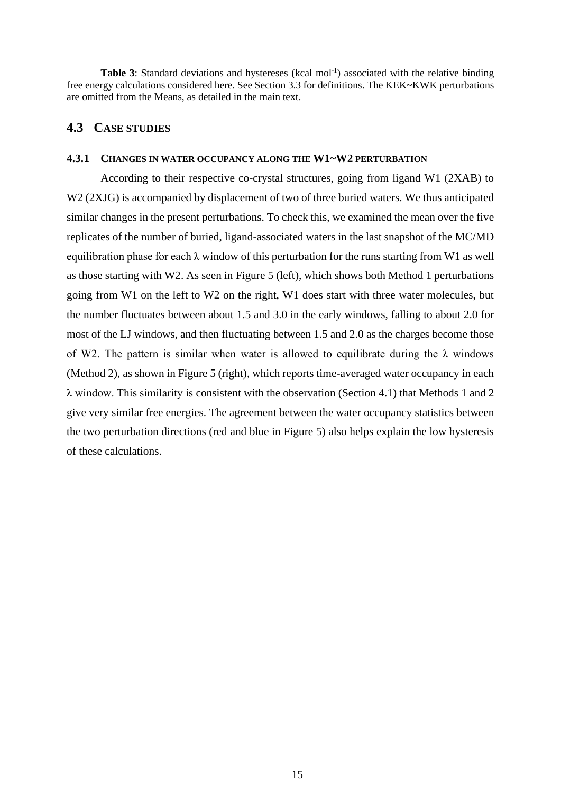Table 3: Standard deviations and hystereses (kcal mol<sup>-1</sup>) associated with the relative binding free energy calculations considered here. See Section [3.3](#page-8-1) for definitions. The KEK~KWK perturbations are omitted from the Means, as detailed in the main text.

#### **4.3 CASE STUDIES**

#### **4.3.1 CHANGES IN WATER OCCUPANCY ALONG THE W1~W2 PERTURBATION**

According to their respective co-crystal structures, going from ligand W1 (2XAB) to W2 (2XJG) is accompanied by displacement of two of three buried waters. We thus anticipated similar changes in the present perturbations. To check this, we examined the mean over the five replicates of the number of buried, ligand-associated waters in the last snapshot of the MC/MD equilibration phase for each  $\lambda$  window of this perturbation for the runs starting from W1 as well as those starting with W2. As seen in [Figure 5](#page-15-0) (left), which shows both Method 1 perturbations going from W1 on the left to W2 on the right, W1 does start with three water molecules, but the number fluctuates between about 1.5 and 3.0 in the early windows, falling to about 2.0 for most of the LJ windows, and then fluctuating between 1.5 and 2.0 as the charges become those of W2. The pattern is similar when water is allowed to equilibrate during the  $\lambda$  windows (Method 2), as shown in [Figure 5](#page-15-0) (right), which reports time-averaged water occupancy in each λ window. This similarity is consistent with the observation (Section [4.1\)](#page-12-0) that Methods 1 and 2 give very similar free energies. The agreement between the water occupancy statistics between the two perturbation directions (red and blue in [Figure 5\)](#page-15-0) also helps explain the low hysteresis of these calculations.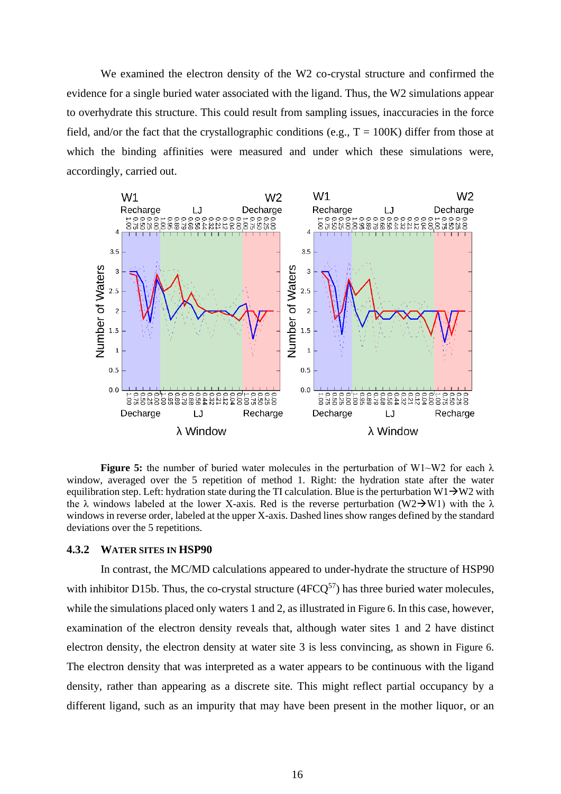We examined the electron density of the W2 co-crystal structure and confirmed the evidence for a single buried water associated with the ligand. Thus, the W2 simulations appear to overhydrate this structure. This could result from sampling issues, inaccuracies in the force field, and/or the fact that the crystallographic conditions (e.g.,  $T = 100K$ ) differ from those at which the binding affinities were measured and under which these simulations were, accordingly, carried out.



<span id="page-15-0"></span>**Figure 5:** the number of buried water molecules in the perturbation of W1~W2 for each  $\lambda$ window, averaged over the 5 repetition of method 1. Right: the hydration state after the water equilibration step. Left: hydration state during the TI calculation. Blue is the perturbation W1 $\rightarrow$ W2 with the  $\lambda$  windows labeled at the lower X-axis. Red is the reverse perturbation (W2→W1) with the  $\lambda$ windows in reverse order, labeled at the upper X-axis. Dashed lines show ranges defined by the standard deviations over the 5 repetitions.

#### **4.3.2 WATER SITES IN HSP90**

In contrast, the MC/MD calculations appeared to under-hydrate the structure of HSP90 with inhibitor D15b. Thus, the co-crystal structure  $(4FCO<sup>57</sup>)$  has three buried water molecules, while the simulations placed only waters 1 and 2, as illustrated in [Figure 6](#page-16-1). In this case, however, examination of the electron density reveals that, although water sites 1 and 2 have distinct electron density, the electron density at water site 3 is less convincing, as shown in [Figure 6](#page-16-1). The electron density that was interpreted as a water appears to be continuous with the ligand density, rather than appearing as a discrete site. This might reflect partial occupancy by a different ligand, such as an impurity that may have been present in the mother liquor, or an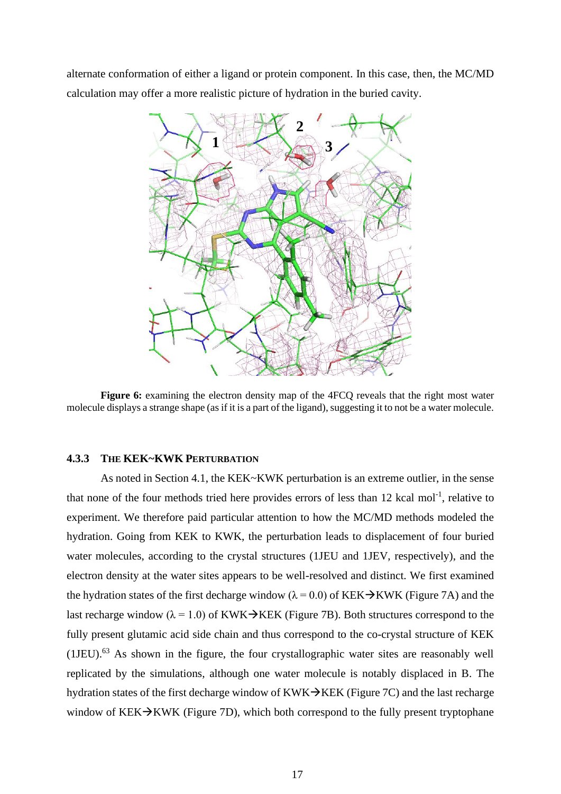alternate conformation of either a ligand or protein component. In this case, then, the MC/MD calculation may offer a more realistic picture of hydration in the buried cavity.



<span id="page-16-1"></span>**Figure 6:** examining the electron density map of the 4FCQ reveals that the right most water molecule displays a strange shape (as if it is a part of the ligand), suggesting it to not be a water molecule.

#### <span id="page-16-0"></span>**4.3.3 THE KEK~KWK PERTURBATION**

As noted in Section [4.1,](#page-12-0) the KEK~KWK perturbation is an extreme outlier, in the sense that none of the four methods tried here provides errors of less than  $12$  kcal mol<sup>-1</sup>, relative to experiment. We therefore paid particular attention to how the MC/MD methods modeled the hydration. Going from KEK to KWK, the perturbation leads to displacement of four buried water molecules, according to the crystal structures (1JEU and 1JEV, respectively), and the electron density at the water sites appears to be well-resolved and distinct. We first examined the hydration states of the first decharge window ( $\lambda = 0.0$ ) of KEK→KWK [\(Figure 7A](#page-17-0)) and the last recharge window ( $\lambda = 1.0$ ) of KWK→KEK [\(Figure 7B](#page-17-0)). Both structures correspond to the fully present glutamic acid side chain and thus correspond to the co-crystal structure of KEK  $(1JEU)$ .<sup>63</sup> As shown in the figure, the four crystallographic water sites are reasonably well replicated by the simulations, although one water molecule is notably displaced in B. The hydration states of the first decharge window of KWK $\rightarrow$ KEK [\(Figure 7C](#page-17-0)) and the last recharge window of  $KEK\rightarrow KWK$  [\(Figure 7D](#page-17-0)), which both correspond to the fully present tryptophane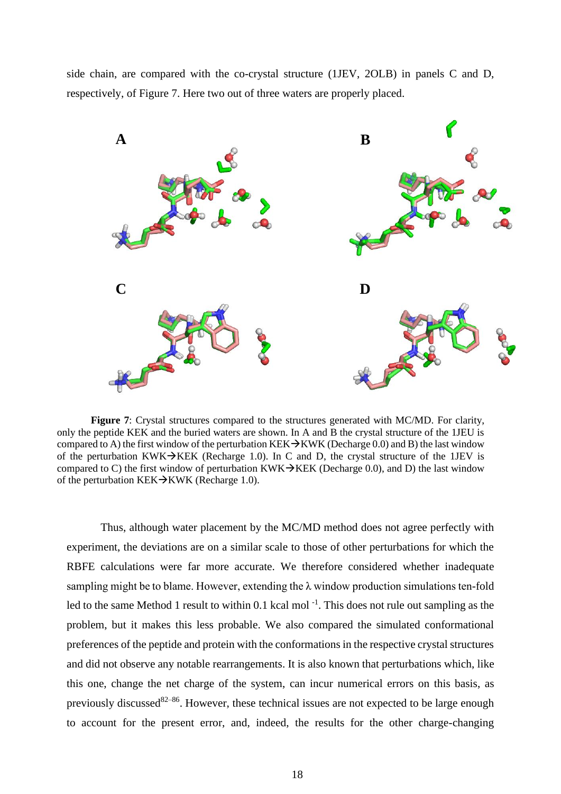side chain, are compared with the co-crystal structure (1JEV, 2OLB) in panels C and D, respectively, of [Figure 7.](#page-17-0) Here two out of three waters are properly placed.



<span id="page-17-0"></span>**Figure 7**: Crystal structures compared to the structures generated with MC/MD. For clarity, only the peptide KEK and the buried waters are shown. In A and B the crystal structure of the 1JEU is compared to A) the first window of the perturbation KEK→KWK (Decharge 0.0) and B) the last window of the perturbation KWK $\rightarrow$ KEK (Recharge 1.0). In C and D, the crystal structure of the 1JEV is compared to C) the first window of perturbation KWK $\rightarrow$ KEK (Decharge 0.0), and D) the last window of the perturbation KEK→KWK (Recharge 1.0).

Thus, although water placement by the MC/MD method does not agree perfectly with experiment, the deviations are on a similar scale to those of other perturbations for which the RBFE calculations were far more accurate. We therefore considered whether inadequate sampling might be to blame. However, extending the λ window production simulations ten-fold led to the same Method 1 result to within 0.1 kcal mol<sup>-1</sup>. This does not rule out sampling as the problem, but it makes this less probable. We also compared the simulated conformational preferences of the peptide and protein with the conformations in the respective crystal structures and did not observe any notable rearrangements. It is also known that perturbations which, like this one, change the net charge of the system, can incur numerical errors on this basis, as previously discussed<sup>82–86</sup>. However, these technical issues are not expected to be large enough to account for the present error, and, indeed, the results for the other charge-changing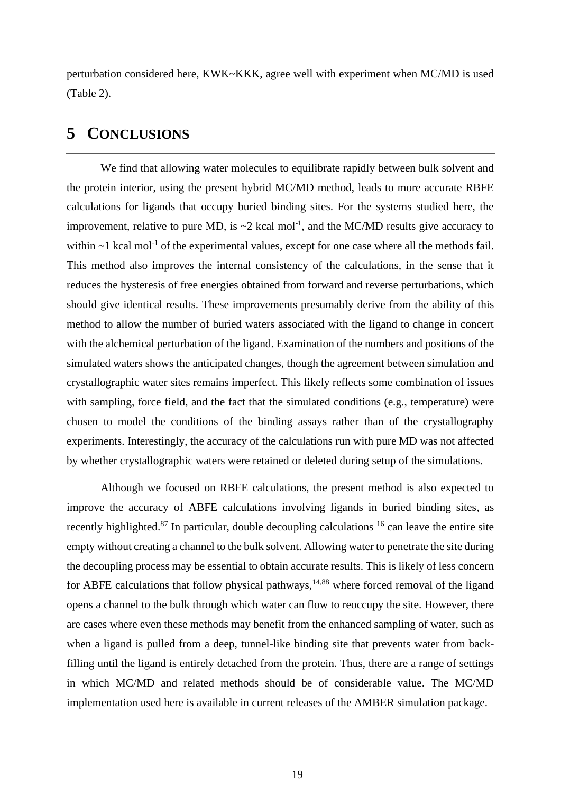perturbation considered here, KWK~KKK, agree well with experiment when MC/MD is used [\(Table 2\)](#page-13-0).

## **5 CONCLUSIONS**

We find that allowing water molecules to equilibrate rapidly between bulk solvent and the protein interior, using the present hybrid MC/MD method, leads to more accurate RBFE calculations for ligands that occupy buried binding sites. For the systems studied here, the improvement, relative to pure MD, is  $\sim$ 2 kcal mol<sup>-1</sup>, and the MC/MD results give accuracy to within  $\sim$ 1 kcal mol<sup>-1</sup> of the experimental values, except for one case where all the methods fail. This method also improves the internal consistency of the calculations, in the sense that it reduces the hysteresis of free energies obtained from forward and reverse perturbations, which should give identical results. These improvements presumably derive from the ability of this method to allow the number of buried waters associated with the ligand to change in concert with the alchemical perturbation of the ligand. Examination of the numbers and positions of the simulated waters shows the anticipated changes, though the agreement between simulation and crystallographic water sites remains imperfect. This likely reflects some combination of issues with sampling, force field, and the fact that the simulated conditions (e.g., temperature) were chosen to model the conditions of the binding assays rather than of the crystallography experiments. Interestingly, the accuracy of the calculations run with pure MD was not affected by whether crystallographic waters were retained or deleted during setup of the simulations.

Although we focused on RBFE calculations, the present method is also expected to improve the accuracy of ABFE calculations involving ligands in buried binding sites, as recently highlighted.<sup>87</sup> In particular, double decoupling calculations <sup>16</sup> can leave the entire site empty without creating a channel to the bulk solvent. Allowing water to penetrate the site during the decoupling process may be essential to obtain accurate results. This is likely of less concern for ABFE calculations that follow physical pathways, $14,88$  where forced removal of the ligand opens a channel to the bulk through which water can flow to reoccupy the site. However, there are cases where even these methods may benefit from the enhanced sampling of water, such as when a ligand is pulled from a deep, tunnel-like binding site that prevents water from backfilling until the ligand is entirely detached from the protein. Thus, there are a range of settings in which MC/MD and related methods should be of considerable value. The MC/MD implementation used here is available in current releases of the AMBER simulation package.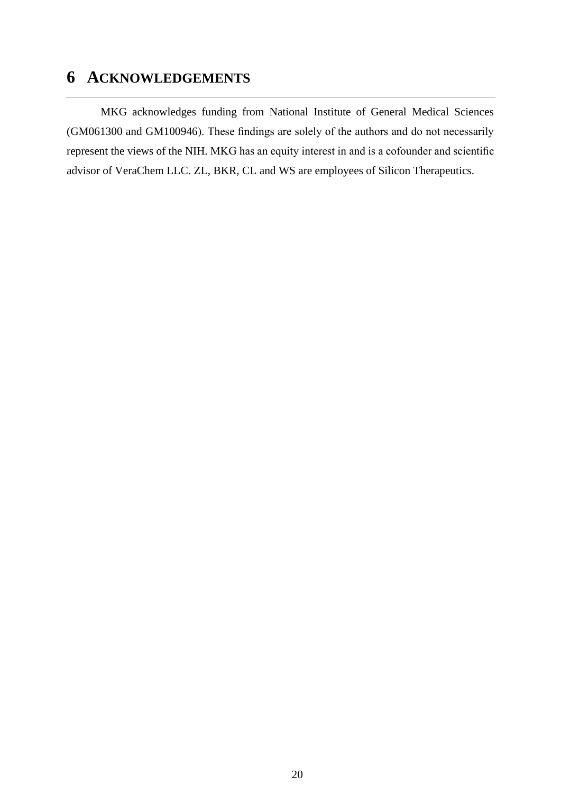# **6 ACKNOWLEDGEMENTS**

MKG acknowledges funding from National Institute of General Medical Sciences (GM061300 and GM100946). These findings are solely of the authors and do not necessarily represent the views of the NIH. MKG has an equity interest in and is a cofounder and scientific advisor of VeraChem LLC. ZL, BKR, CL and WS are employees of Silicon Therapeutics.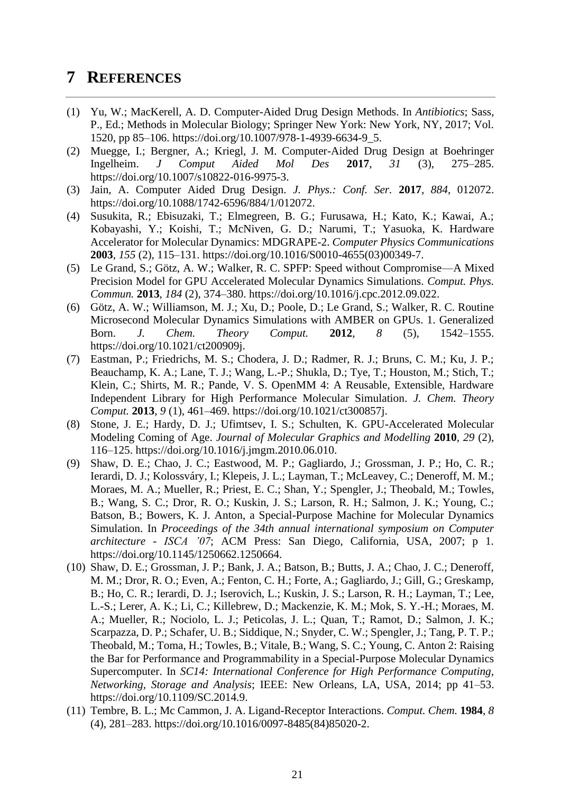## **7 REFERENCES**

- (1) Yu, W.; MacKerell, A. D. Computer-Aided Drug Design Methods. In *Antibiotics*; Sass, P., Ed.; Methods in Molecular Biology; Springer New York: New York, NY, 2017; Vol. 1520, pp 85–106. https://doi.org/10.1007/978-1-4939-6634-9\_5.
- (2) Muegge, I.; Bergner, A.; Kriegl, J. M. Computer-Aided Drug Design at Boehringer Ingelheim. *J Comput Aided Mol Des* **2017**, *31* (3), 275–285. https://doi.org/10.1007/s10822-016-9975-3.
- (3) Jain, A. Computer Aided Drug Design. *J. Phys.: Conf. Ser.* **2017**, *884*, 012072. https://doi.org/10.1088/1742-6596/884/1/012072.
- (4) Susukita, R.; Ebisuzaki, T.; Elmegreen, B. G.; Furusawa, H.; Kato, K.; Kawai, A.; Kobayashi, Y.; Koishi, T.; McNiven, G. D.; Narumi, T.; Yasuoka, K. Hardware Accelerator for Molecular Dynamics: MDGRAPE-2. *Computer Physics Communications* **2003**, *155* (2), 115–131. https://doi.org/10.1016/S0010-4655(03)00349-7.
- (5) Le Grand, S.; Götz, A. W.; Walker, R. C. SPFP: Speed without Compromise—A Mixed Precision Model for GPU Accelerated Molecular Dynamics Simulations. *Comput. Phys. Commun.* **2013**, *184* (2), 374–380. https://doi.org/10.1016/j.cpc.2012.09.022.
- (6) Götz, A. W.; Williamson, M. J.; Xu, D.; Poole, D.; Le Grand, S.; Walker, R. C. Routine Microsecond Molecular Dynamics Simulations with AMBER on GPUs. 1. Generalized Born. *J. Chem. Theory Comput.* **2012**, *8* (5), 1542–1555. https://doi.org/10.1021/ct200909j.
- (7) Eastman, P.; Friedrichs, M. S.; Chodera, J. D.; Radmer, R. J.; Bruns, C. M.; Ku, J. P.; Beauchamp, K. A.; Lane, T. J.; Wang, L.-P.; Shukla, D.; Tye, T.; Houston, M.; Stich, T.; Klein, C.; Shirts, M. R.; Pande, V. S. OpenMM 4: A Reusable, Extensible, Hardware Independent Library for High Performance Molecular Simulation. *J. Chem. Theory Comput.* **2013**, *9* (1), 461–469. https://doi.org/10.1021/ct300857j.
- (8) Stone, J. E.; Hardy, D. J.; Ufimtsev, I. S.; Schulten, K. GPU-Accelerated Molecular Modeling Coming of Age. *Journal of Molecular Graphics and Modelling* **2010**, *29* (2), 116–125. https://doi.org/10.1016/j.jmgm.2010.06.010.
- (9) Shaw, D. E.; Chao, J. C.; Eastwood, M. P.; Gagliardo, J.; Grossman, J. P.; Ho, C. R.; Ierardi, D. J.; Kolossváry, I.; Klepeis, J. L.; Layman, T.; McLeavey, C.; Deneroff, M. M.; Moraes, M. A.; Mueller, R.; Priest, E. C.; Shan, Y.; Spengler, J.; Theobald, M.; Towles, B.; Wang, S. C.; Dror, R. O.; Kuskin, J. S.; Larson, R. H.; Salmon, J. K.; Young, C.; Batson, B.; Bowers, K. J. Anton, a Special-Purpose Machine for Molecular Dynamics Simulation. In *Proceedings of the 34th annual international symposium on Computer architecture - ISCA '07*; ACM Press: San Diego, California, USA, 2007; p 1. https://doi.org/10.1145/1250662.1250664.
- (10) Shaw, D. E.; Grossman, J. P.; Bank, J. A.; Batson, B.; Butts, J. A.; Chao, J. C.; Deneroff, M. M.; Dror, R. O.; Even, A.; Fenton, C. H.; Forte, A.; Gagliardo, J.; Gill, G.; Greskamp, B.; Ho, C. R.; Ierardi, D. J.; Iserovich, L.; Kuskin, J. S.; Larson, R. H.; Layman, T.; Lee, L.-S.; Lerer, A. K.; Li, C.; Killebrew, D.; Mackenzie, K. M.; Mok, S. Y.-H.; Moraes, M. A.; Mueller, R.; Nociolo, L. J.; Peticolas, J. L.; Quan, T.; Ramot, D.; Salmon, J. K.; Scarpazza, D. P.; Schafer, U. B.; Siddique, N.; Snyder, C. W.; Spengler, J.; Tang, P. T. P.; Theobald, M.; Toma, H.; Towles, B.; Vitale, B.; Wang, S. C.; Young, C. Anton 2: Raising the Bar for Performance and Programmability in a Special-Purpose Molecular Dynamics Supercomputer. In *SC14: International Conference for High Performance Computing, Networking, Storage and Analysis*; IEEE: New Orleans, LA, USA, 2014; pp 41–53. https://doi.org/10.1109/SC.2014.9.
- (11) Tembre, B. L.; Mc Cammon, J. A. Ligand-Receptor Interactions. *Comput. Chem.* **1984**, *8* (4), 281–283. https://doi.org/10.1016/0097-8485(84)85020-2.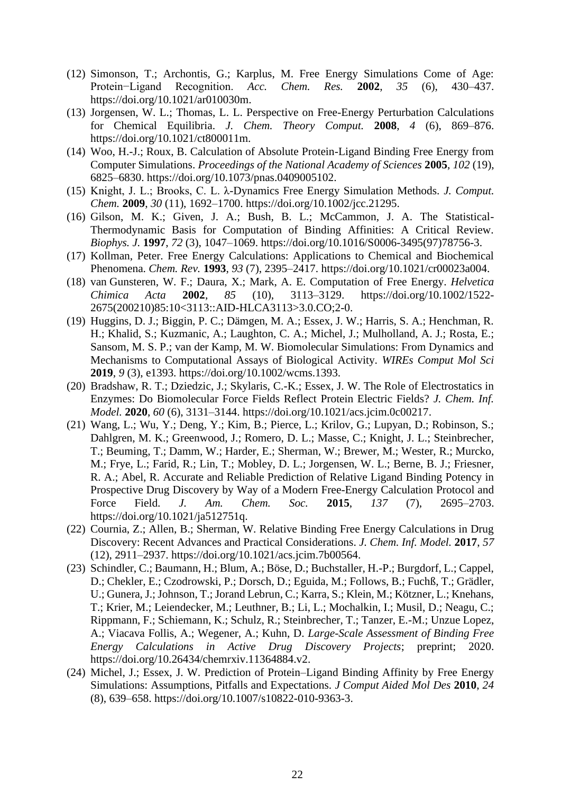- (12) Simonson, T.; Archontis, G.; Karplus, M. Free Energy Simulations Come of Age: Protein−Ligand Recognition. *Acc. Chem. Res.* **2002**, *35* (6), 430–437. https://doi.org/10.1021/ar010030m.
- (13) Jorgensen, W. L.; Thomas, L. L. Perspective on Free-Energy Perturbation Calculations for Chemical Equilibria. *J. Chem. Theory Comput.* **2008**, *4* (6), 869–876. https://doi.org/10.1021/ct800011m.
- (14) Woo, H.-J.; Roux, B. Calculation of Absolute Protein-Ligand Binding Free Energy from Computer Simulations. *Proceedings of the National Academy of Sciences* **2005**, *102* (19), 6825–6830. https://doi.org/10.1073/pnas.0409005102.
- (15) Knight, J. L.; Brooks, C. L. λ-Dynamics Free Energy Simulation Methods. *J. Comput. Chem.* **2009**, *30* (11), 1692–1700. https://doi.org/10.1002/jcc.21295.
- (16) Gilson, M. K.; Given, J. A.; Bush, B. L.; McCammon, J. A. The Statistical-Thermodynamic Basis for Computation of Binding Affinities: A Critical Review. *Biophys. J.* **1997**, *72* (3), 1047–1069. https://doi.org/10.1016/S0006-3495(97)78756-3.
- (17) Kollman, Peter. Free Energy Calculations: Applications to Chemical and Biochemical Phenomena. *Chem. Rev.* **1993**, *93* (7), 2395–2417. https://doi.org/10.1021/cr00023a004.
- (18) van Gunsteren, W. F.; Daura, X.; Mark, A. E. Computation of Free Energy. *Helvetica Chimica Acta* **2002**, *85* (10), 3113–3129. https://doi.org/10.1002/1522- 2675(200210)85:10<3113::AID-HLCA3113>3.0.CO;2-0.
- (19) Huggins, D. J.; Biggin, P. C.; Dämgen, M. A.; Essex, J. W.; Harris, S. A.; Henchman, R. H.; Khalid, S.; Kuzmanic, A.; Laughton, C. A.; Michel, J.; Mulholland, A. J.; Rosta, E.; Sansom, M. S. P.; van der Kamp, M. W. Biomolecular Simulations: From Dynamics and Mechanisms to Computational Assays of Biological Activity. *WIREs Comput Mol Sci* **2019**, *9* (3), e1393. https://doi.org/10.1002/wcms.1393.
- (20) Bradshaw, R. T.; Dziedzic, J.; Skylaris, C.-K.; Essex, J. W. The Role of Electrostatics in Enzymes: Do Biomolecular Force Fields Reflect Protein Electric Fields? *J. Chem. Inf. Model.* **2020**, *60* (6), 3131–3144. https://doi.org/10.1021/acs.jcim.0c00217.
- (21) Wang, L.; Wu, Y.; Deng, Y.; Kim, B.; Pierce, L.; Krilov, G.; Lupyan, D.; Robinson, S.; Dahlgren, M. K.; Greenwood, J.; Romero, D. L.; Masse, C.; Knight, J. L.; Steinbrecher, T.; Beuming, T.; Damm, W.; Harder, E.; Sherman, W.; Brewer, M.; Wester, R.; Murcko, M.; Frye, L.; Farid, R.; Lin, T.; Mobley, D. L.; Jorgensen, W. L.; Berne, B. J.; Friesner, R. A.; Abel, R. Accurate and Reliable Prediction of Relative Ligand Binding Potency in Prospective Drug Discovery by Way of a Modern Free-Energy Calculation Protocol and Force Field. *J. Am. Chem. Soc.* **2015**, *137* (7), 2695–2703. https://doi.org/10.1021/ja512751q.
- (22) Cournia, Z.; Allen, B.; Sherman, W. Relative Binding Free Energy Calculations in Drug Discovery: Recent Advances and Practical Considerations. *J. Chem. Inf. Model.* **2017**, *57* (12), 2911–2937. https://doi.org/10.1021/acs.jcim.7b00564.
- (23) Schindler, C.; Baumann, H.; Blum, A.; Böse, D.; Buchstaller, H.-P.; Burgdorf, L.; Cappel, D.; Chekler, E.; Czodrowski, P.; Dorsch, D.; Eguida, M.; Follows, B.; Fuchß, T.; Grädler, U.; Gunera, J.; Johnson, T.; Jorand Lebrun, C.; Karra, S.; Klein, M.; Kötzner, L.; Knehans, T.; Krier, M.; Leiendecker, M.; Leuthner, B.; Li, L.; Mochalkin, I.; Musil, D.; Neagu, C.; Rippmann, F.; Schiemann, K.; Schulz, R.; Steinbrecher, T.; Tanzer, E.-M.; Unzue Lopez, A.; Viacava Follis, A.; Wegener, A.; Kuhn, D. *Large-Scale Assessment of Binding Free Energy Calculations in Active Drug Discovery Projects*; preprint; 2020. https://doi.org/10.26434/chemrxiv.11364884.v2.
- (24) Michel, J.; Essex, J. W. Prediction of Protein–Ligand Binding Affinity by Free Energy Simulations: Assumptions, Pitfalls and Expectations. *J Comput Aided Mol Des* **2010**, *24* (8), 639–658. https://doi.org/10.1007/s10822-010-9363-3.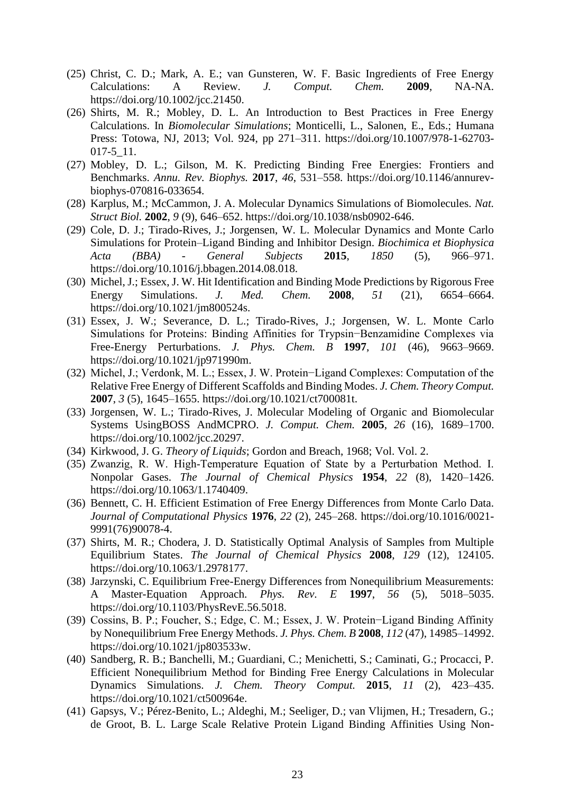- (25) Christ, C. D.; Mark, A. E.; van Gunsteren, W. F. Basic Ingredients of Free Energy Calculations: A Review. *J. Comput. Chem.* **2009**, NA-NA. https://doi.org/10.1002/jcc.21450.
- (26) Shirts, M. R.; Mobley, D. L. An Introduction to Best Practices in Free Energy Calculations. In *Biomolecular Simulations*; Monticelli, L., Salonen, E., Eds.; Humana Press: Totowa, NJ, 2013; Vol. 924, pp 271–311. https://doi.org/10.1007/978-1-62703- 017-5\_11.
- (27) Mobley, D. L.; Gilson, M. K. Predicting Binding Free Energies: Frontiers and Benchmarks. *Annu. Rev. Biophys.* **2017**, *46*, 531–558. https://doi.org/10.1146/annurevbiophys-070816-033654.
- (28) Karplus, M.; McCammon, J. A. Molecular Dynamics Simulations of Biomolecules. *Nat. Struct Biol.* **2002**, *9* (9), 646–652. https://doi.org/10.1038/nsb0902-646.
- (29) Cole, D. J.; Tirado-Rives, J.; Jorgensen, W. L. Molecular Dynamics and Monte Carlo Simulations for Protein–Ligand Binding and Inhibitor Design. *Biochimica et Biophysica Acta (BBA) - General Subjects* **2015**, *1850* (5), 966–971. https://doi.org/10.1016/j.bbagen.2014.08.018.
- (30) Michel, J.; Essex, J. W. Hit Identification and Binding Mode Predictions by Rigorous Free Energy Simulations. *J. Med. Chem.* **2008**, *51* (21), 6654–6664. https://doi.org/10.1021/jm800524s.
- (31) Essex, J. W.; Severance, D. L.; Tirado-Rives, J.; Jorgensen, W. L. Monte Carlo Simulations for Proteins: Binding Affinities for Trypsin−Benzamidine Complexes via Free-Energy Perturbations. *J. Phys. Chem. B* **1997**, *101* (46), 9663–9669. https://doi.org/10.1021/jp971990m.
- (32) Michel, J.; Verdonk, M. L.; Essex, J. W. Protein−Ligand Complexes: Computation of the Relative Free Energy of Different Scaffolds and Binding Modes. *J. Chem. Theory Comput.* **2007**, *3* (5), 1645–1655. https://doi.org/10.1021/ct700081t.
- (33) Jorgensen, W. L.; Tirado-Rives, J. Molecular Modeling of Organic and Biomolecular Systems UsingBOSS AndMCPRO. *J. Comput. Chem.* **2005**, *26* (16), 1689–1700. https://doi.org/10.1002/jcc.20297.
- (34) Kirkwood, J. G. *Theory of Liquids*; Gordon and Breach, 1968; Vol. Vol. 2.
- (35) Zwanzig, R. W. High‐Temperature Equation of State by a Perturbation Method. I. Nonpolar Gases. *The Journal of Chemical Physics* **1954**, *22* (8), 1420–1426. https://doi.org/10.1063/1.1740409.
- (36) Bennett, C. H. Efficient Estimation of Free Energy Differences from Monte Carlo Data. *Journal of Computational Physics* **1976**, *22* (2), 245–268. https://doi.org/10.1016/0021- 9991(76)90078-4.
- (37) Shirts, M. R.; Chodera, J. D. Statistically Optimal Analysis of Samples from Multiple Equilibrium States. *The Journal of Chemical Physics* **2008**, *129* (12), 124105. https://doi.org/10.1063/1.2978177.
- (38) Jarzynski, C. Equilibrium Free-Energy Differences from Nonequilibrium Measurements: A Master-Equation Approach. *Phys. Rev. E* **1997**, *56* (5), 5018–5035. https://doi.org/10.1103/PhysRevE.56.5018.
- (39) Cossins, B. P.; Foucher, S.; Edge, C. M.; Essex, J. W. Protein−Ligand Binding Affinity by Nonequilibrium Free Energy Methods. *J. Phys. Chem. B* **2008**, *112* (47), 14985–14992. https://doi.org/10.1021/jp803533w.
- (40) Sandberg, R. B.; Banchelli, M.; Guardiani, C.; Menichetti, S.; Caminati, G.; Procacci, P. Efficient Nonequilibrium Method for Binding Free Energy Calculations in Molecular Dynamics Simulations. *J. Chem. Theory Comput.* **2015**, *11* (2), 423–435. https://doi.org/10.1021/ct500964e.
- (41) Gapsys, V.; Pérez-Benito, L.; Aldeghi, M.; Seeliger, D.; van Vlijmen, H.; Tresadern, G.; de Groot, B. L. Large Scale Relative Protein Ligand Binding Affinities Using Non-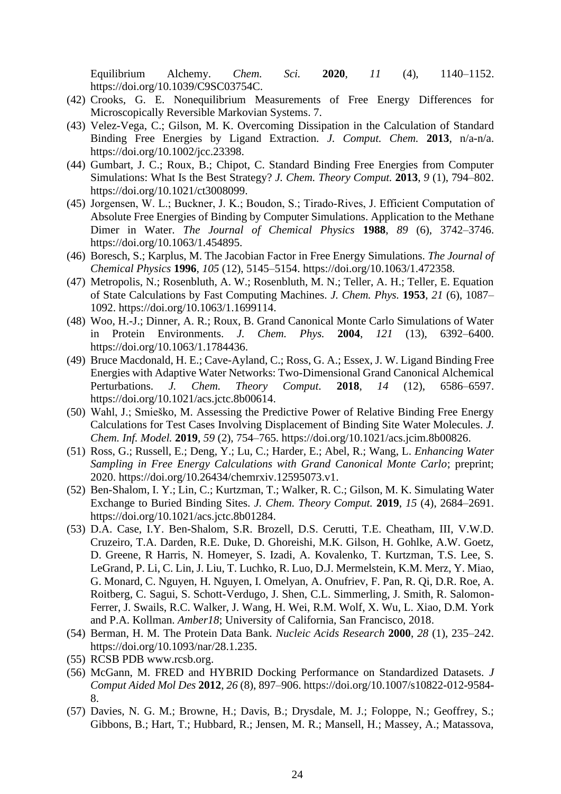Equilibrium Alchemy. *Chem. Sci.* **2020**, *11* (4), 1140–1152. https://doi.org/10.1039/C9SC03754C.

- (42) Crooks, G. E. Nonequilibrium Measurements of Free Energy Differences for Microscopically Reversible Markovian Systems. 7.
- (43) Velez-Vega, C.; Gilson, M. K. Overcoming Dissipation in the Calculation of Standard Binding Free Energies by Ligand Extraction. *J. Comput. Chem.* **2013**, n/a-n/a. https://doi.org/10.1002/jcc.23398.
- (44) Gumbart, J. C.; Roux, B.; Chipot, C. Standard Binding Free Energies from Computer Simulations: What Is the Best Strategy? *J. Chem. Theory Comput.* **2013**, *9* (1), 794–802. https://doi.org/10.1021/ct3008099.
- (45) Jorgensen, W. L.; Buckner, J. K.; Boudon, S.; Tirado‐Rives, J. Efficient Computation of Absolute Free Energies of Binding by Computer Simulations. Application to the Methane Dimer in Water. *The Journal of Chemical Physics* **1988**, *89* (6), 3742–3746. https://doi.org/10.1063/1.454895.
- (46) Boresch, S.; Karplus, M. The Jacobian Factor in Free Energy Simulations. *The Journal of Chemical Physics* **1996**, *105* (12), 5145–5154. https://doi.org/10.1063/1.472358.
- (47) Metropolis, N.; Rosenbluth, A. W.; Rosenbluth, M. N.; Teller, A. H.; Teller, E. Equation of State Calculations by Fast Computing Machines. *J. Chem. Phys.* **1953**, *21* (6), 1087– 1092. https://doi.org/10.1063/1.1699114.
- (48) Woo, H.-J.; Dinner, A. R.; Roux, B. Grand Canonical Monte Carlo Simulations of Water in Protein Environments. *J. Chem. Phys.* **2004**, *121* (13), 6392–6400. https://doi.org/10.1063/1.1784436.
- (49) Bruce Macdonald, H. E.; Cave-Ayland, C.; Ross, G. A.; Essex, J. W. Ligand Binding Free Energies with Adaptive Water Networks: Two-Dimensional Grand Canonical Alchemical Perturbations. *J. Chem. Theory Comput.* **2018**, *14* (12), 6586–6597. https://doi.org/10.1021/acs.jctc.8b00614.
- (50) Wahl, J.; Smieško, M. Assessing the Predictive Power of Relative Binding Free Energy Calculations for Test Cases Involving Displacement of Binding Site Water Molecules. *J. Chem. Inf. Model.* **2019**, *59* (2), 754–765. https://doi.org/10.1021/acs.jcim.8b00826.
- (51) Ross, G.; Russell, E.; Deng, Y.; Lu, C.; Harder, E.; Abel, R.; Wang, L. *Enhancing Water Sampling in Free Energy Calculations with Grand Canonical Monte Carlo*; preprint; 2020. https://doi.org/10.26434/chemrxiv.12595073.v1.
- (52) Ben-Shalom, I. Y.; Lin, C.; Kurtzman, T.; Walker, R. C.; Gilson, M. K. Simulating Water Exchange to Buried Binding Sites. *J. Chem. Theory Comput.* **2019**, *15* (4), 2684–2691. https://doi.org/10.1021/acs.jctc.8b01284.
- (53) D.A. Case, I.Y. Ben-Shalom, S.R. Brozell, D.S. Cerutti, T.E. Cheatham, III, V.W.D. Cruzeiro, T.A. Darden, R.E. Duke, D. Ghoreishi, M.K. Gilson, H. Gohlke, A.W. Goetz, D. Greene, R Harris, N. Homeyer, S. Izadi, A. Kovalenko, T. Kurtzman, T.S. Lee, S. LeGrand, P. Li, C. Lin, J. Liu, T. Luchko, R. Luo, D.J. Mermelstein, K.M. Merz, Y. Miao, G. Monard, C. Nguyen, H. Nguyen, I. Omelyan, A. Onufriev, F. Pan, R. Qi, D.R. Roe, A. Roitberg, C. Sagui, S. Schott-Verdugo, J. Shen, C.L. Simmerling, J. Smith, R. Salomon-Ferrer, J. Swails, R.C. Walker, J. Wang, H. Wei, R.M. Wolf, X. Wu, L. Xiao, D.M. York and P.A. Kollman. *Amber18*; University of California, San Francisco, 2018.
- (54) Berman, H. M. The Protein Data Bank. *Nucleic Acids Research* **2000**, *28* (1), 235–242. https://doi.org/10.1093/nar/28.1.235.
- (55) RCSB PDB www.rcsb.org.
- (56) McGann, M. FRED and HYBRID Docking Performance on Standardized Datasets. *J Comput Aided Mol Des* **2012**, *26* (8), 897–906. https://doi.org/10.1007/s10822-012-9584- 8.
- (57) Davies, N. G. M.; Browne, H.; Davis, B.; Drysdale, M. J.; Foloppe, N.; Geoffrey, S.; Gibbons, B.; Hart, T.; Hubbard, R.; Jensen, M. R.; Mansell, H.; Massey, A.; Matassova,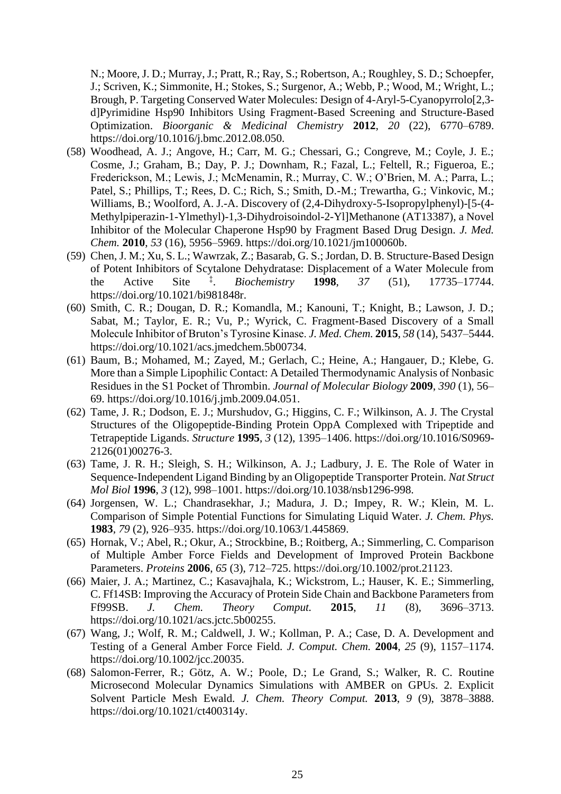N.; Moore, J. D.; Murray, J.; Pratt, R.; Ray, S.; Robertson, A.; Roughley, S. D.; Schoepfer, J.; Scriven, K.; Simmonite, H.; Stokes, S.; Surgenor, A.; Webb, P.; Wood, M.; Wright, L.; Brough, P. Targeting Conserved Water Molecules: Design of 4-Aryl-5-Cyanopyrrolo[2,3 d]Pyrimidine Hsp90 Inhibitors Using Fragment-Based Screening and Structure-Based Optimization. *Bioorganic & Medicinal Chemistry* **2012**, *20* (22), 6770–6789. https://doi.org/10.1016/j.bmc.2012.08.050.

- (58) Woodhead, A. J.; Angove, H.; Carr, M. G.; Chessari, G.; Congreve, M.; Coyle, J. E.; Cosme, J.; Graham, B.; Day, P. J.; Downham, R.; Fazal, L.; Feltell, R.; Figueroa, E.; Frederickson, M.; Lewis, J.; McMenamin, R.; Murray, C. W.; O'Brien, M. A.; Parra, L.; Patel, S.; Phillips, T.; Rees, D. C.; Rich, S.; Smith, D.-M.; Trewartha, G.; Vinkovic, M.; Williams, B.; Woolford, A. J.-A. Discovery of (2,4-Dihydroxy-5-Isopropylphenyl)-[5-(4- Methylpiperazin-1-Ylmethyl)-1,3-Dihydroisoindol-2-Yl]Methanone (AT13387), a Novel Inhibitor of the Molecular Chaperone Hsp90 by Fragment Based Drug Design. *J. Med. Chem.* **2010**, *53* (16), 5956–5969. https://doi.org/10.1021/jm100060b.
- (59) Chen, J. M.; Xu, S. L.; Wawrzak, Z.; Basarab, G. S.; Jordan, D. B. Structure-Based Design of Potent Inhibitors of Scytalone Dehydratase: Displacement of a Water Molecule from the Active Site  $\ddot{ }$ . . *Biochemistry* **1998**, *37* (51), 17735–17744. https://doi.org/10.1021/bi981848r.
- (60) Smith, C. R.; Dougan, D. R.; Komandla, M.; Kanouni, T.; Knight, B.; Lawson, J. D.; Sabat, M.; Taylor, E. R.; Vu, P.; Wyrick, C. Fragment-Based Discovery of a Small Molecule Inhibitor of Bruton's Tyrosine Kinase. *J. Med. Chem.* **2015**, *58* (14), 5437–5444. https://doi.org/10.1021/acs.jmedchem.5b00734.
- (61) Baum, B.; Mohamed, M.; Zayed, M.; Gerlach, C.; Heine, A.; Hangauer, D.; Klebe, G. More than a Simple Lipophilic Contact: A Detailed Thermodynamic Analysis of Nonbasic Residues in the S1 Pocket of Thrombin. *Journal of Molecular Biology* **2009**, *390* (1), 56– 69. https://doi.org/10.1016/j.jmb.2009.04.051.
- (62) Tame, J. R.; Dodson, E. J.; Murshudov, G.; Higgins, C. F.; Wilkinson, A. J. The Crystal Structures of the Oligopeptide-Binding Protein OppA Complexed with Tripeptide and Tetrapeptide Ligands. *Structure* **1995**, *3* (12), 1395–1406. https://doi.org/10.1016/S0969- 2126(01)00276-3.
- (63) Tame, J. R. H.; Sleigh, S. H.; Wilkinson, A. J.; Ladbury, J. E. The Role of Water in Sequence-Independent Ligand Binding by an Oligopeptide Transporter Protein. *Nat Struct Mol Biol* **1996**, *3* (12), 998–1001. https://doi.org/10.1038/nsb1296-998.
- (64) Jorgensen, W. L.; Chandrasekhar, J.; Madura, J. D.; Impey, R. W.; Klein, M. L. Comparison of Simple Potential Functions for Simulating Liquid Water. *J. Chem. Phys.* **1983**, *79* (2), 926–935. https://doi.org/10.1063/1.445869.
- (65) Hornak, V.; Abel, R.; Okur, A.; Strockbine, B.; Roitberg, A.; Simmerling, C. Comparison of Multiple Amber Force Fields and Development of Improved Protein Backbone Parameters. *Proteins* **2006**, *65* (3), 712–725. https://doi.org/10.1002/prot.21123.
- (66) Maier, J. A.; Martinez, C.; Kasavajhala, K.; Wickstrom, L.; Hauser, K. E.; Simmerling, C. Ff14SB: Improving the Accuracy of Protein Side Chain and Backbone Parameters from Ff99SB. *J. Chem. Theory Comput.* **2015**, *11* (8), 3696–3713. https://doi.org/10.1021/acs.jctc.5b00255.
- (67) Wang, J.; Wolf, R. M.; Caldwell, J. W.; Kollman, P. A.; Case, D. A. Development and Testing of a General Amber Force Field. *J. Comput. Chem.* **2004**, *25* (9), 1157–1174. https://doi.org/10.1002/jcc.20035.
- (68) Salomon-Ferrer, R.; Götz, A. W.; Poole, D.; Le Grand, S.; Walker, R. C. Routine Microsecond Molecular Dynamics Simulations with AMBER on GPUs. 2. Explicit Solvent Particle Mesh Ewald. *J. Chem. Theory Comput.* **2013**, *9* (9), 3878–3888. https://doi.org/10.1021/ct400314y.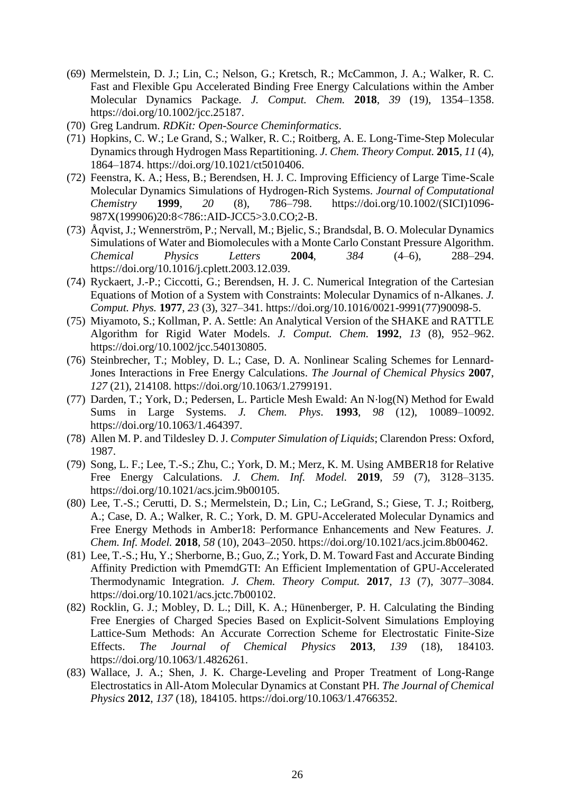- (69) Mermelstein, D. J.; Lin, C.; Nelson, G.; Kretsch, R.; McCammon, J. A.; Walker, R. C. Fast and Flexible Gpu Accelerated Binding Free Energy Calculations within the Amber Molecular Dynamics Package. *J. Comput. Chem.* **2018**, *39* (19), 1354–1358. https://doi.org/10.1002/jcc.25187.
- (70) Greg Landrum. *RDKit: Open-Source Cheminformatics*.
- (71) Hopkins, C. W.; Le Grand, S.; Walker, R. C.; Roitberg, A. E. Long-Time-Step Molecular Dynamics through Hydrogen Mass Repartitioning. *J. Chem. Theory Comput.* **2015**, *11* (4), 1864–1874. https://doi.org/10.1021/ct5010406.
- (72) Feenstra, K. A.; Hess, B.; Berendsen, H. J. C. Improving Efficiency of Large Time-Scale Molecular Dynamics Simulations of Hydrogen-Rich Systems. *Journal of Computational Chemistry* **1999**, *20* (8), 786–798. https://doi.org/10.1002/(SICI)1096- 987X(199906)20:8<786::AID-JCC5>3.0.CO;2-B.
- (73) Åqvist, J.; Wennerström, P.; Nervall, M.; Bjelic, S.; Brandsdal, B. O. Molecular Dynamics Simulations of Water and Biomolecules with a Monte Carlo Constant Pressure Algorithm. *Chemical Physics Letters* **2004**, *384* (4–6), 288–294. https://doi.org/10.1016/j.cplett.2003.12.039.
- (74) Ryckaert, J.-P.; Ciccotti, G.; Berendsen, H. J. C. Numerical Integration of the Cartesian Equations of Motion of a System with Constraints: Molecular Dynamics of n-Alkanes. *J. Comput. Phys.* **1977**, *23* (3), 327–341. https://doi.org/10.1016/0021-9991(77)90098-5.
- (75) Miyamoto, S.; Kollman, P. A. Settle: An Analytical Version of the SHAKE and RATTLE Algorithm for Rigid Water Models. *J. Comput. Chem.* **1992**, *13* (8), 952–962. https://doi.org/10.1002/jcc.540130805.
- (76) Steinbrecher, T.; Mobley, D. L.; Case, D. A. Nonlinear Scaling Schemes for Lennard-Jones Interactions in Free Energy Calculations. *The Journal of Chemical Physics* **2007**, *127* (21), 214108. https://doi.org/10.1063/1.2799191.
- (77) Darden, T.; York, D.; Pedersen, L. Particle Mesh Ewald: An N⋅log(N) Method for Ewald Sums in Large Systems. *J. Chem. Phys.* **1993**, *98* (12), 10089–10092. https://doi.org/10.1063/1.464397.
- (78) Allen M. P. and Tildesley D. J. *Computer Simulation of Liquids*; Clarendon Press: Oxford, 1987.
- (79) Song, L. F.; Lee, T.-S.; Zhu, C.; York, D. M.; Merz, K. M. Using AMBER18 for Relative Free Energy Calculations. *J. Chem. Inf. Model.* **2019**, *59* (7), 3128–3135. https://doi.org/10.1021/acs.jcim.9b00105.
- (80) Lee, T.-S.; Cerutti, D. S.; Mermelstein, D.; Lin, C.; LeGrand, S.; Giese, T. J.; Roitberg, A.; Case, D. A.; Walker, R. C.; York, D. M. GPU-Accelerated Molecular Dynamics and Free Energy Methods in Amber18: Performance Enhancements and New Features. *J. Chem. Inf. Model.* **2018**, *58* (10), 2043–2050. https://doi.org/10.1021/acs.jcim.8b00462.
- (81) Lee, T.-S.; Hu, Y.; Sherborne, B.; Guo, Z.; York, D. M. Toward Fast and Accurate Binding Affinity Prediction with PmemdGTI: An Efficient Implementation of GPU-Accelerated Thermodynamic Integration. *J. Chem. Theory Comput.* **2017**, *13* (7), 3077–3084. https://doi.org/10.1021/acs.jctc.7b00102.
- (82) Rocklin, G. J.; Mobley, D. L.; Dill, K. A.; Hünenberger, P. H. Calculating the Binding Free Energies of Charged Species Based on Explicit-Solvent Simulations Employing Lattice-Sum Methods: An Accurate Correction Scheme for Electrostatic Finite-Size Effects. *The Journal of Chemical Physics* **2013**, *139* (18), 184103. https://doi.org/10.1063/1.4826261.
- (83) Wallace, J. A.; Shen, J. K. Charge-Leveling and Proper Treatment of Long-Range Electrostatics in All-Atom Molecular Dynamics at Constant PH. *The Journal of Chemical Physics* **2012**, *137* (18), 184105. https://doi.org/10.1063/1.4766352.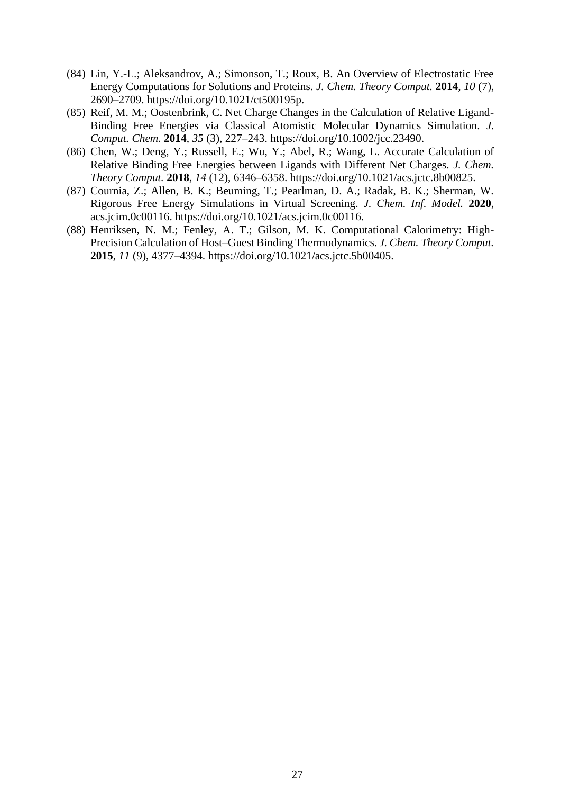- (84) Lin, Y.-L.; Aleksandrov, A.; Simonson, T.; Roux, B. An Overview of Electrostatic Free Energy Computations for Solutions and Proteins. *J. Chem. Theory Comput.* **2014**, *10* (7), 2690–2709. https://doi.org/10.1021/ct500195p.
- (85) Reif, M. M.; Oostenbrink, C. Net Charge Changes in the Calculation of Relative Ligand-Binding Free Energies via Classical Atomistic Molecular Dynamics Simulation. *J. Comput. Chem.* **2014**, *35* (3), 227–243. https://doi.org/10.1002/jcc.23490.
- (86) Chen, W.; Deng, Y.; Russell, E.; Wu, Y.; Abel, R.; Wang, L. Accurate Calculation of Relative Binding Free Energies between Ligands with Different Net Charges. *J. Chem. Theory Comput.* **2018**, *14* (12), 6346–6358. https://doi.org/10.1021/acs.jctc.8b00825.
- (87) Cournia, Z.; Allen, B. K.; Beuming, T.; Pearlman, D. A.; Radak, B. K.; Sherman, W. Rigorous Free Energy Simulations in Virtual Screening. *J. Chem. Inf. Model.* **2020**, acs.jcim.0c00116. https://doi.org/10.1021/acs.jcim.0c00116.
- (88) Henriksen, N. M.; Fenley, A. T.; Gilson, M. K. Computational Calorimetry: High-Precision Calculation of Host–Guest Binding Thermodynamics. *J. Chem. Theory Comput.* **2015**, *11* (9), 4377–4394. https://doi.org/10.1021/acs.jctc.5b00405.